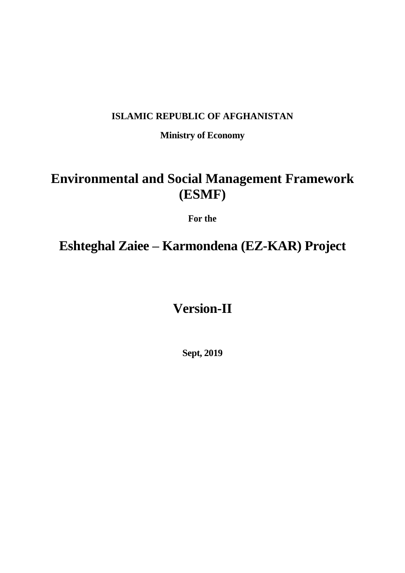# **ISLAMIC REPUBLIC OF AFGHANISTAN**

**Ministry of Economy**

# **Environmental and Social Management Framework (ESMF)**

**For the**

# **Eshteghal Zaiee – Karmondena (EZ-KAR) Project**

# **Version-II**

**Sept, 2019**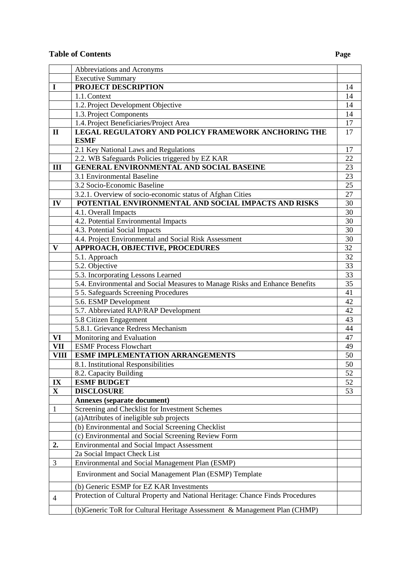# **Table of Contents Page**

|                         | Abbreviations and Acronyms                                                     |                 |
|-------------------------|--------------------------------------------------------------------------------|-----------------|
|                         | <b>Executive Summary</b>                                                       |                 |
| $\bf{I}$                | PROJECT DESCRIPTION                                                            | 14              |
|                         | 1.1. Context                                                                   | 14              |
|                         | 1.2. Project Development Objective                                             | 14              |
|                         | 1.3. Project Components                                                        | 14              |
|                         | 1.4. Project Beneficiaries/Project Area                                        | 17              |
| $\mathbf{I}$            | <b>LEGAL REGULATORY AND POLICY FRAMEWORK ANCHORING THE</b>                     | 17              |
|                         | <b>ESMF</b>                                                                    |                 |
|                         | 2.1 Key National Laws and Regulations                                          | 17              |
|                         | 2.2. WB Safeguards Policies triggered by EZ KAR                                | 22              |
| III                     | <b>GENERAL ENVIRONMENTAL AND SOCIAL BASEINE</b>                                | 23              |
|                         | 3.1 Environmental Baseline                                                     | 23              |
|                         | 3.2 Socio-Economic Baseline                                                    | 25              |
|                         | 3.2.1. Overview of socio-economic status of Afghan Cities                      | 27              |
| IV                      | POTENTIAL ENVIRONMENTAL AND SOCIAL IMPACTS AND RISKS                           | 30              |
|                         | 4.1. Overall Impacts                                                           | 30              |
|                         | 4.2. Potential Environmental Impacts                                           | 30              |
|                         | 4.3. Potential Social Impacts                                                  | 30              |
|                         | 4.4. Project Environmental and Social Risk Assessment                          | 30              |
| $\mathbf{V}$            | <b>APPROACH, OBJECTIVE, PROCEDURES</b>                                         | 32              |
|                         | 5.1. Approach                                                                  | $\overline{32}$ |
|                         | 5.2. Objective                                                                 | 33              |
|                         | 5.3. Incorporating Lessons Learned                                             | 33              |
|                         | 5.4. Environmental and Social Measures to Manage Risks and Enhance Benefits    | 35              |
|                         | 5 5. Safeguards Screening Procedures                                           | 41              |
|                         | 5.6. ESMP Development                                                          | 42              |
|                         | 5.7. Abbreviated RAP/RAP Development                                           | 42              |
|                         | 5.8 Citizen Engagement                                                         | 43              |
|                         | 5.8.1. Grievance Redress Mechanism                                             | 44              |
| VI                      | Monitoring and Evaluation                                                      | 47              |
| <b>VII</b>              | <b>ESMF Process Flowchart</b>                                                  | 49              |
| <b>VIII</b>             | <b>ESMF IMPLEMENTATION ARRANGEMENTS</b>                                        | 50              |
|                         | 8.1. Institutional Responsibilities                                            | 50<br>52        |
| IX                      | 8.2. Capacity Building<br><b>ESMF BUDGET</b>                                   | 52              |
| $\overline{\mathbf{X}}$ | <b>DISCLOSURE</b>                                                              | 53              |
|                         | <b>Annexes (separate document)</b>                                             |                 |
| $\mathbf{1}$            | Screening and Checklist for Investment Schemes                                 |                 |
|                         | (a) Attributes of ineligible sub projects                                      |                 |
|                         | (b) Environmental and Social Screening Checklist                               |                 |
|                         | (c) Environmental and Social Screening Review Form                             |                 |
| 2.                      | <b>Environmental and Social Impact Assessment</b>                              |                 |
|                         | 2a Social Impact Check List                                                    |                 |
| 3                       | Environmental and Social Management Plan (ESMP)                                |                 |
|                         | Environment and Social Management Plan (ESMP) Template                         |                 |
|                         |                                                                                |                 |
|                         | (b) Generic ESMP for EZ KAR Investments                                        |                 |
| $\overline{4}$          | Protection of Cultural Property and National Heritage: Chance Finds Procedures |                 |
|                         | (b) Generic ToR for Cultural Heritage Assessment & Management Plan (CHMP)      |                 |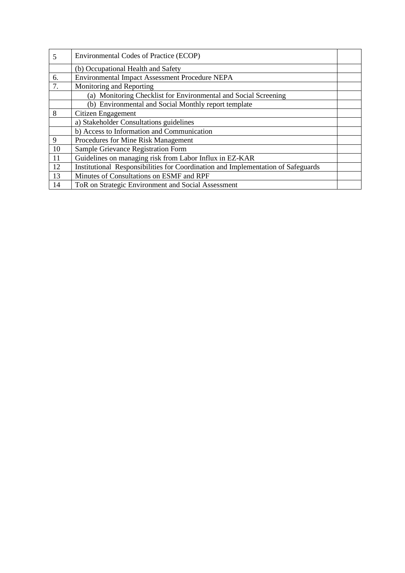| 5  | Environmental Codes of Practice (ECOP)                                           |  |
|----|----------------------------------------------------------------------------------|--|
|    | (b) Occupational Health and Safety                                               |  |
| 6. | <b>Environmental Impact Assessment Procedure NEPA</b>                            |  |
| 7. | Monitoring and Reporting                                                         |  |
|    | (a) Monitoring Checklist for Environmental and Social Screening                  |  |
|    | (b) Environmental and Social Monthly report template                             |  |
| 8  | Citizen Engagement                                                               |  |
|    | a) Stakeholder Consultations guidelines                                          |  |
|    | b) Access to Information and Communication                                       |  |
| 9  | Procedures for Mine Risk Management                                              |  |
| 10 | Sample Grievance Registration Form                                               |  |
| 11 | Guidelines on managing risk from Labor Influx in EZ-KAR                          |  |
| 12 | Institutional Responsibilities for Coordination and Implementation of Safeguards |  |
| 13 | Minutes of Consultations on ESMF and RPF                                         |  |
| 14 | ToR on Strategic Environment and Social Assessment                               |  |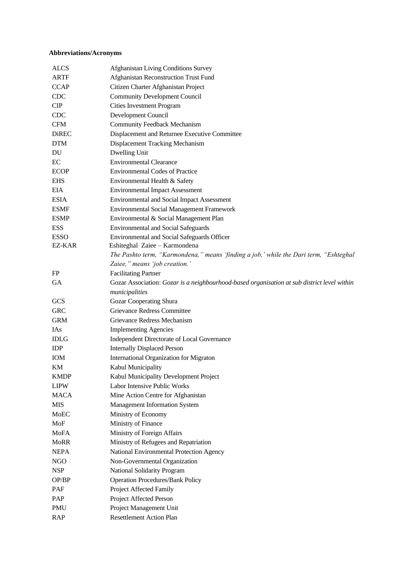#### **Abbreviations/Acronyms**

| <b>ALCS</b>  | Afghanistan Living Conditions Survey                                                        |
|--------------|---------------------------------------------------------------------------------------------|
| <b>ARTF</b>  | Afghanistan Reconstruction Trust Fund                                                       |
| <b>CCAP</b>  | Citizen Charter Afghanistan Project                                                         |
| <b>CDC</b>   | <b>Community Development Council</b>                                                        |
| CIP          | <b>Cities Investment Program</b>                                                            |
| <b>CDC</b>   | Development Council                                                                         |
| <b>CFM</b>   | <b>Community Feedback Mechanism</b>                                                         |
| <b>DiREC</b> | Displacement and Returnee Executive Committee                                               |
| <b>DTM</b>   | Displacement Tracking Mechanism                                                             |
| DU           | Dwelling Unit                                                                               |
| EC           | <b>Environmental Clearance</b>                                                              |
| <b>ECOP</b>  | <b>Environmental Codes of Practice</b>                                                      |
| <b>EHS</b>   | Environmental Health & Safety                                                               |
| <b>EIA</b>   | <b>Environmental Impact Assessment</b>                                                      |
| <b>ESIA</b>  | <b>Environmental and Social Impact Assessment</b>                                           |
| <b>ESMF</b>  | Environmental Social Management Framework                                                   |
| <b>ESMP</b>  | Environmental & Social Management Plan                                                      |
| <b>ESS</b>   | <b>Environmental and Social Safeguards</b>                                                  |
| <b>ESSO</b>  | Environmental and Social Safeguards Officer                                                 |
| EZ-KAR       | Eshiteghal Zaiee - Karmondena                                                               |
|              | The Pashto term, "Karmondena," means 'finding a job,' while the Dari term, "Eshteghal       |
|              | Zaiee," means 'job creation.'                                                               |
| FP           | <b>Facilitating Partner</b>                                                                 |
| <b>GA</b>    | Gozar Association: Gozar is a neighbourhood-based organisation at sub district level within |
|              | municipalities                                                                              |
| <b>GCS</b>   | Gozar Cooperating Shura                                                                     |
| <b>GRC</b>   | Grievance Redress Committee                                                                 |
| <b>GRM</b>   | Grievance Redress Mechanism                                                                 |
| <b>IAs</b>   | <b>Implementing Agencies</b>                                                                |
| <b>IDLG</b>  | Independent Directorate of Local Governance                                                 |
| IDP          | <b>Internally Displaced Person</b>                                                          |
| <b>IOM</b>   | International Organization for Migraton                                                     |
| KМ           | Kabul Municipality                                                                          |
| <b>KMDP</b>  | Kabul Municipality Development Project                                                      |
| <b>LIPW</b>  | Labor Intensive Public Works                                                                |
| <b>MACA</b>  | Mine Action Centre for Afghanistan                                                          |
| <b>MIS</b>   | Management Information System                                                               |
| MoEC         | Ministry of Economy                                                                         |
| MoF          | Ministry of Finance                                                                         |
| MoFA         | Ministry of Foreign Affairs                                                                 |
| <b>MoRR</b>  | Ministry of Refugees and Repatriation                                                       |
| <b>NEPA</b>  | National Environmental Protection Agency                                                    |
| <b>NGO</b>   | Non-Governmental Organization                                                               |
| <b>NSP</b>   | National Solidarity Program                                                                 |
| OP/BP        | <b>Operation Procedures/Bank Policy</b>                                                     |
| PAF          | Project Affected Family                                                                     |
| PAP          | Project Affected Person                                                                     |
| PMU          | Project Management Unit                                                                     |
| <b>RAP</b>   | <b>Resettlement Action Plan</b>                                                             |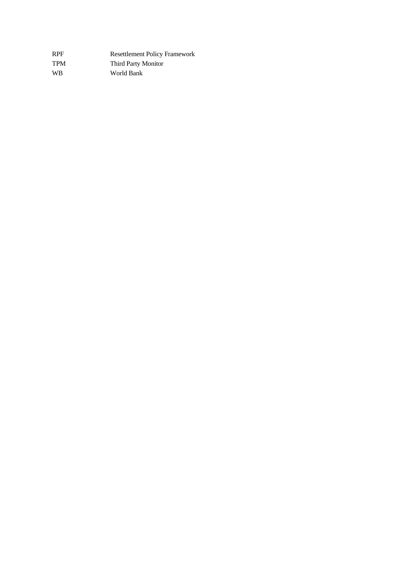| <b>RPF</b> | <b>Resettlement Policy Framework</b> |
|------------|--------------------------------------|
| <b>TPM</b> | <b>Third Party Monitor</b>           |
| <b>WB</b>  | World Bank                           |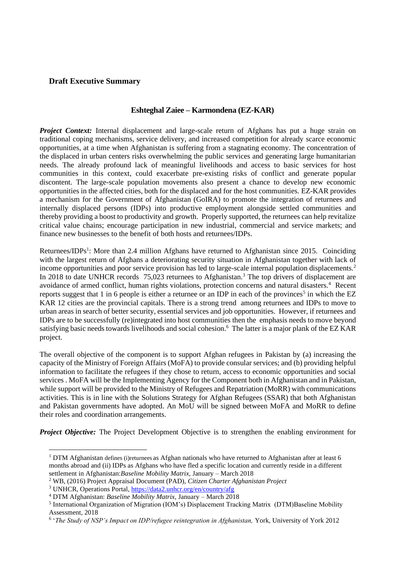#### **Draft Executive Summary**

#### **Eshteghal Zaiee – Karmondena (EZ-KAR)**

*Project Context:* Internal displacement and large-scale return of Afghans has put a huge strain on traditional coping mechanisms, service delivery, and increased competition for already scarce economic opportunities, at a time when Afghanistan is suffering from a stagnating economy. The concentration of the displaced in urban centers risks overwhelming the public services and generating large humanitarian needs. The already profound lack of meaningful livelihoods and access to basic services for host communities in this context, could exacerbate pre-existing risks of conflict and generate popular discontent. The large-scale population movements also present a chance to develop new economic opportunities in the affected cities, both for the displaced and for the host communities. EZ-KAR provides a mechanism for the Government of Afghanistan (GoIRA) to promote the integration of returnees and internally displaced persons (IDPs) into productive employment alongside settled communities and thereby providing a boost to productivity and growth. Properly supported, the returnees can help revitalize critical value chains; encourage participation in new industrial, commercial and service markets; and finance new businesses to the benefit of both hosts and returnees/IDPs.

Returnees/IDPs<sup>1</sup>: More than 2.4 million Afghans have returned to Afghanistan since 2015. Coinciding with the largest return of Afghans a deteriorating security situation in Afghanistan together with lack of income opportunities and poor service provision has led to large-scale internal population displacements.<sup>2</sup> In 2018 to date UNHCR records 75,023 returnees to Afghanistan.<sup>3</sup> The top drivers of displacement are avoidance of armed conflict, human rights violations, protection concerns and natural disasters.<sup>4</sup> Recent reports suggest that 1 in 6 people is either a returnee or an IDP in each of the provinces<sup>5</sup> in which the EZ KAR 12 cities are the provincial capitals. There is a strong trend among returnees and IDPs to move to urban areas in search of better security, essential services and job opportunities. However, if returnees and IDPs are to be successfully (re)integrated into host communities then the emphasis needs to move beyond satisfying basic needs towards livelihoods and social cohesion.<sup>6</sup> The latter is a major plank of the EZ KAR project.

The overall objective of the component is to support Afghan refugees in Pakistan by (a) increasing the capacity of the Ministry of Foreign Affairs (MoFA) to provide consular services; and (b) providing helpful information to facilitate the refugees if they chose to return, access to economic opportunities and social services . MoFA will be the Implementing Agency for the Component both in Afghanistan and in Pakistan, while support will be provided to the Ministry of Refugees and Repatriation (MoRR) with communications activities. This is in line with the Solutions Strategy for Afghan Refugees (SSAR) that both Afghanistan and Pakistan governments have adopted. An MoU will be signed between MoFA and MoRR to define their roles and coordination arrangements.

*Project Objective:* The Project Development Objective is to strengthen the enabling environment for

<sup>&</sup>lt;sup>1</sup> DTM Afghanistan defines (i)returnees as Afghan nationals who have returned to Afghanistan after at least 6 months abroad and (ii) IDPs as Afghans who have fled a specific location and currently reside in a different settlement in Afghanistan:*Baseline Mobility Matrix,* January – March 2018

<sup>2</sup> WB, (2016) Project Appraisal Document (PAD), *Citizen Charter Afghanistan Project* 

<sup>3</sup> UNHCR, Operations Portal,<https://data2.unhcr.org/en/country/afg>

<sup>4</sup> DTM Afghanistan: *Baseline Mobility Matrix,* January – March 2018

<sup>&</sup>lt;sup>5</sup> International Organization of Migration (IOM's) Displacement Tracking Matrix (DTM)Baseline Mobility Assessment, 2018

<sup>&</sup>lt;sup>6</sup> '*The Study of NSP's Impact on IDP/refugee reintegration in Afghanistan, York, University of York 2012*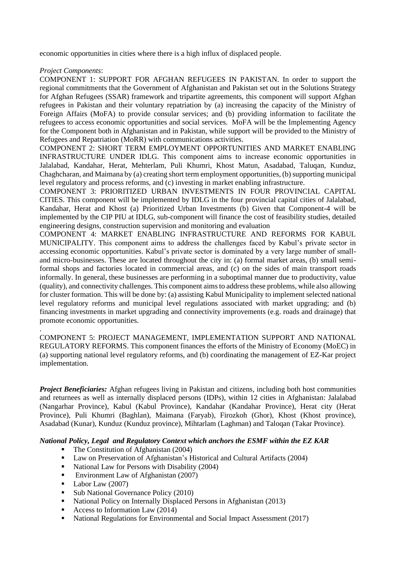economic opportunities in cities where there is a high influx of displaced people.

#### *Project Components*:

COMPONENT 1: SUPPORT FOR AFGHAN REFUGEES IN PAKISTAN. In order to support the regional commitments that the Government of Afghanistan and Pakistan set out in the Solutions Strategy for Afghan Refugees (SSAR) framework and tripartite agreements, this component will support Afghan refugees in Pakistan and their voluntary repatriation by (a) increasing the capacity of the Ministry of Foreign Affairs (MoFA) to provide consular services; and (b) providing information to facilitate the refugees to access economic opportunities and social services. MoFA will be the Implementing Agency for the Component both in Afghanistan and in Pakistan, while support will be provided to the Ministry of Refugees and Repatriation (MoRR) with communications activities.

COMPONENT 2: SHORT TERM EMPLOYMENT OPPORTUNITIES AND MARKET ENABLING INFRASTRUCTURE UNDER IDLG. This component aims to increase economic opportunities in Jalalabad, Kandahar, Herat, Mehterlam, Puli Khumri, Khost Matun, Asadabad, Taluqan, Kunduz, Chaghcharan, and Maimana by (a) creating short term employment opportunities, (b) supporting municipal level regulatory and process reforms, and (c) investing in market enabling infrastructure.

COMPONENT 3: PRIORITIZED URBAN INVESTMENTS IN FOUR PROVINCIAL CAPITAL CITIES. This component will be implemented by IDLG in the four provincial capital cities of Jalalabad, Kandahar, Herat and Khost (a) Prioritized Urban Investments (b) Given that Component-4 will be implemented by the CIP PIU at IDLG, sub-component will finance the cost of feasibility studies, detailed engineering designs, construction supervision and monitoring and evaluation

COMPONENT 4: MARKET ENABLING INFRASTRUCTURE AND REFORMS FOR KABUL MUNICIPALITY. This component aims to address the challenges faced by Kabul's private sector in accessing economic opportunities. Kabul's private sector is dominated by a very large number of smalland micro-businesses. These are located throughout the city in: (a) formal market areas, (b) small semiformal shops and factories located in commercial areas, and (c) on the sides of main transport roads informally. In general, these businesses are performing in a suboptimal manner due to productivity, value (quality), and connectivity challenges. This component aims to address these problems, while also allowing for cluster formation. This will be done by: (a) assisting Kabul Municipality to implement selected national level regulatory reforms and municipal level regulations associated with market upgrading; and (b) financing investments in market upgrading and connectivity improvements (e.g. roads and drainage) that promote economic opportunities.

. COMPONENT 5: PROJECT MANAGEMENT, IMPLEMENTATION SUPPORT AND NATIONAL REGULATORY REFORMS. This component finances the efforts of the Ministry of Economy (MoEC) in (a) supporting national level regulatory reforms, and (b) coordinating the management of EZ-Kar project implementation.

*Project Beneficiaries:* Afghan refugees living in Pakistan and citizens, including both host communities and returnees as well as internally displaced persons (IDPs), within 12 cities in Afghanistan: Jalalabad (Nangarhar Province), Kabul (Kabul Province), Kandahar (Kandahar Province), Herat city (Herat Province), Puli Khumri (Baghlan), Maimana (Faryab), Firozkoh (Ghor), Khost (Khost province), Asadabad (Kunar), Kunduz (Kunduz province), Mihtarlam (Laghman) and Taloqan (Takar Province).

*National Policy, Legal and Regulatory Context which anchors the ESMF within the EZ KAR*

- The Constitution of Afghanistan (2004)
- Law on Preservation of Afghanistan's Historical and Cultural Artifacts (2004)
- National Law for Persons with Disability (2004)
- Environment Law of Afghanistan (2007)
- Labor Law (2007)
- Sub National Governance Policy (2010)
- National Policy on Internally Displaced Persons in Afghanistan (2013)
- $\blacksquare$  Access to Information Law (2014)
- National Regulations for Environmental and Social Impact Assessment (2017)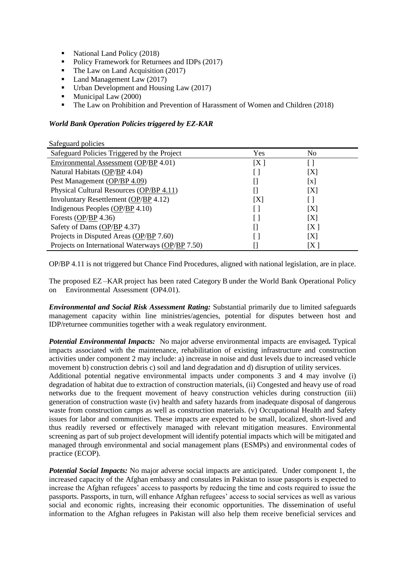- National Land Policy (2018)
- Policy Framework for Returnees and IDPs (2017)
- The Law on Land Acquisition (2017)
- Land Management Law (2017)
- Urban Development and Housing Law (2017)
- Municipal Law (2000)
- The Law on Prohibition and Prevention of Harassment of Women and Children (2018)

#### *World Bank Operation Policies triggered by EZ-KAR*

Safeguard policies

| $\beta$ and $\beta$ $\beta$ and $\beta$                  |      |                            |
|----------------------------------------------------------|------|----------------------------|
| Safeguard Policies Triggered by the Project              | Yes  | N <sub>0</sub>             |
| Environmental Assessment (OP/BP 4.01)                    | [X ] |                            |
| Natural Habitats (OP/BP 4.04)                            |      | $[{\rm X}]$                |
| Pest Management (OP/BP 4.09)                             |      | $\left[ \mathrm{x}\right]$ |
| Physical Cultural Resources (OP/BP 4.11)                 |      | [X]                        |
| Involuntary Resettlement (OP/BP 4.12)                    | [X]  |                            |
| Indigenous Peoples $\left(\frac{OP}{BP}\right)$ 4.10)    |      | [X]                        |
| Forests $\left(\frac{\text{OP}}{\text{BP}}\right)$ 4.36) |      | [X]                        |
| Safety of Dams (OP/BP 4.37)                              |      | [X]                        |
| Projects in Disputed Areas (OP/BP 7.60)                  |      | [X]                        |
| Projects on International Waterways (OP/BP 7.50)         |      | [X ]                       |

OP/BP 4.11 is not triggered but Chance Find Procedures, aligned with national legislation, are in place.

The proposed EZ –KAR project has been rated Category B under the World Bank Operational Policy on Environmental Assessment (OP4.01).

*Environmental and Social Risk Assessment Rating:* Substantial primarily due to limited safeguards management capacity within line ministries/agencies, potential for disputes between host and IDP/returnee communities together with a weak regulatory environment.

*Potential Environmental Impacts:* No major adverse environmental impacts are envisaged*.* Typical impacts associated with the maintenance, rehabilitation of existing infrastructure and construction activities under component 2 may include: a) increase in noise and dust levels due to increased vehicle movement b) construction debris c) soil and land degradation and d) disruption of utility services.

Additional potential negative environmental impacts under components 3 and 4 may involve (i) degradation of habitat due to extraction of construction materials, (ii) Congested and heavy use of road networks due to the frequent movement of heavy construction vehicles during construction (iii) generation of construction waste (iv) health and safety hazards from inadequate disposal of dangerous waste from construction camps as well as construction materials. (v) Occupational Health and Safety issues for labor and communities. These impacts are expected to be small, localized, short-lived and thus readily reversed or effectively managed with relevant mitigation measures. Environmental screening as part of sub project development will identify potential impacts which will be mitigated and managed through environmental and social management plans (ESMPs) and environmental codes of practice (ECOP).

*Potential Social Impacts:* No major adverse social impacts are anticipated. Under component 1, the increased capacity of the Afghan embassy and consulates in Pakistan to issue passports is expected to increase the Afghan refugees' access to passports by reducing the time and costs required to issue the passports. Passports, in turn, will enhance Afghan refugees' access to social services as well as various social and economic rights, increasing their economic opportunities. The dissemination of useful information to the Afghan refugees in Pakistan will also help them receive beneficial services and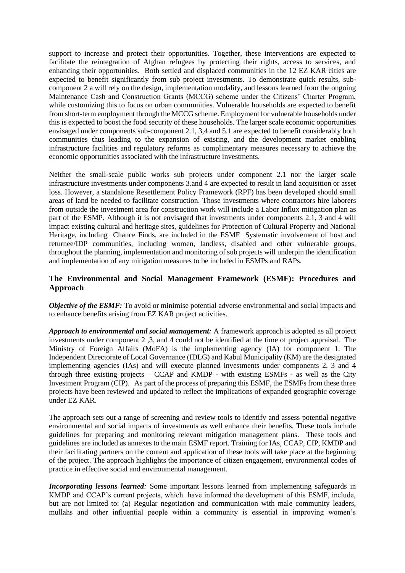support to increase and protect their opportunities. Together, these interventions are expected to facilitate the reintegration of Afghan refugees by protecting their rights, access to services, and enhancing their opportunities. Both settled and displaced communities in the 12 EZ KAR cities are expected to benefit significantly from sub project investments. To demonstrate quick results, subcomponent 2 a will rely on the design, implementation modality, and lessons learned from the ongoing Maintenance Cash and Construction Grants (MCCG) scheme under the Citizens' Charter Program, while customizing this to focus on urban communities. Vulnerable households are expected to benefit from short-term employment through the MCCG scheme. Employment for vulnerable households under this is expected to boost the food security of these households. The larger scale economic opportunities envisaged under components sub-component 2.1, 3,4 and 5.1 are expected to benefit considerably both communities thus leading to the expansion of existing, and the development market enabling infrastructure facilities and regulatory reforms as complimentary measures necessary to achieve the economic opportunities associated with the infrastructure investments.

Neither the small-scale public works sub projects under component 2.1 nor the larger scale infrastructure investments under components 3.and 4 are expected to result in land acquisition or asset loss. However, a standalone Resettlement Policy Framework (RPF) has been developed should small areas of land be needed to facilitate construction. Those investments where contractors hire laborers from outside the investment area for construction work will include a Labor Influx mitigation plan as part of the ESMP. Although it is not envisaged that investments under components 2.1, 3 and 4 will impact existing cultural and heritage sites, guidelines for Protection of Cultural Property and National Heritage, including Chance Finds, are included in the ESMF Systematic involvement of host and returnee/IDP communities, including women, landless, disabled and other vulnerable groups, throughout the planning, implementation and monitoring of sub projects will underpin the identification and implementation of any mitigation measures to be included in ESMPs and RAPs.

## **The Environmental and Social Management Framework (ESMF): Procedures and Approach**

*Objective of the ESMF:* To avoid or minimise potential adverse environmental and social impacts and to enhance benefits arising from EZ KAR project activities.

*Approach to environmental and social management:* A framework approach is adopted as all project investments under component 2 ,3, and 4 could not be identified at the time of project appraisal. The Ministry of Foreign Affairs (MoFA) is the implementing agency (IA) for component 1. The Independent Directorate of Local Governance (IDLG) and Kabul Municipality (KM) are the designated implementing agencies (IAs) and will execute planned investments under components 2, 3 and 4 through three existing projects – CCAP and KMDP - with existing ESMFs - as well as the City Investment Program (CIP). As part of the process of preparing this ESMF, the ESMFs from these three projects have been reviewed and updated to reflect the implications of expanded geographic coverage under EZ KAR.

The approach sets out a range of screening and review tools to identify and assess potential negative environmental and social impacts of investments as well enhance their benefits. These tools include guidelines for preparing and monitoring relevant mitigation management plans. These tools and guidelines are included as annexes to the main ESMF report. Training for IAs, CCAP, CIP, KMDP and their facilitating partners on the content and application of these tools will take place at the beginning of the project. The approach highlights the importance of citizen engagement, environmental codes of practice in effective social and environmental management.

*Incorporating lessons learned:* Some important lessons learned from implementing safeguards in KMDP and CCAP's current projects, which have informed the development of this ESMF, include, but are not limited to: (a) Regular negotiation and communication with male community leaders, mullahs and other influential people within a community is essential in improving women's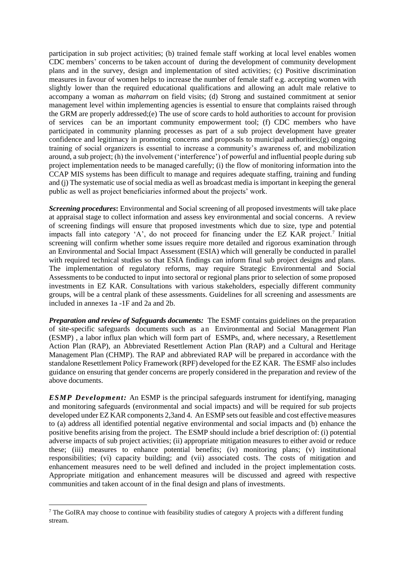participation in sub project activities; (b) trained female staff working at local level enables women CDC members' concerns to be taken account of during the development of community development plans and in the survey, design and implementation of sited activities; (c) Positive discrimination measures in favour of women helps to increase the number of female staff e.g. accepting women with slightly lower than the required educational qualifications and allowing an adult male relative to accompany a woman as *maharram* on field visits; (d) Strong and sustained commitment at senior management level within implementing agencies is essential to ensure that complaints raised through the GRM are properly addressed;(e) The use of score cards to hold authorities to account for provision of services can be an important community empowerment tool; (f) CDC members who have participated in community planning processes as part of a sub project development have greater confidence and legitimacy in promoting concerns and proposals to municipal authorities;(g) ongoing training of social organizers is essential to increase a community's awareness of, and mobilization around, a sub project; (h) the involvement ('interference') of powerful and influential people during sub project implementation needs to be managed carefully; (i) the flow of monitoring information into the CCAP MIS systems has been difficult to manage and requires adequate staffing, training and funding and (j) The systematic use of social media as well as broadcast media is important in keeping the general public as well as project beneficiaries informed about the projects' work.

*Screening procedures***:** Environmental and Social screening of all proposed investments will take place at appraisal stage to collect information and assess key environmental and social concerns. A review of screening findings will ensure that proposed investments which due to size, type and potential impacts fall into category 'A', do not proceed for financing under the EZ KAR project.<sup>7</sup> Initial screening will confirm whether some issues require more detailed and rigorous examination through an Environmental and Social Impact Assessment (ESIA) which will generally be conducted in parallel with required technical studies so that ESIA findings can inform final sub project designs and plans. The implementation of regulatory reforms, may require Strategic Environmental and Social Assessments to be conducted to input into sectoral or regional plans prior to selection of some proposed investments in EZ KAR. Consultations with various stakeholders, especially different community groups, will be a central plank of these assessments. Guidelines for all screening and assessments are included in annexes 1a -1F and 2a and 2b.

*Preparation and review of Safeguards documents:* The ESMF contains guidelines on the preparation of site-specific safeguards documents such as an Environmental and Social Management Plan (ESMP) , a labor influx plan which will form part of ESMPs, and, where necessary, a Resettlement Action Plan (RAP), an Abbreviated Resettlement Action Plan (RAP) and a Cultural and Heritage Management Plan (CHMP). The RAP and abbreviated RAP will be prepared in accordance with the standalone Resettlement Policy Framework (RPF) developed for the EZ KAR. The ESMF also includes guidance on ensuring that gender concerns are properly considered in the preparation and review of the above documents.

*ESMP Development:* An ESMP is the principal safeguards instrument for identifying, managing and monitoring safeguards (environmental and social impacts) and will be required for sub projects developed under EZ KAR components 2,3and 4. An ESMP sets out feasible and cost effective measures to (a) address all identified potential negative environmental and social impacts and (b) enhance the positive benefits arising from the project. The ESMP should include a brief description of: (i) potential adverse impacts of sub project activities; (ii) appropriate mitigation measures to either avoid or reduce these; (iii) measures to enhance potential benefits; (iv) monitoring plans; (v) institutional responsibilities; (vi) capacity building; and (vii) associated costs. The costs of mitigation and enhancement measures need to be well defined and included in the project implementation costs. Appropriate mitigation and enhancement measures will be discussed and agreed with respective communities and taken account of in the final design and plans of investments.

<sup>&</sup>lt;sup>7</sup> The GoIRA may choose to continue with feasibility studies of category A projects with a different funding stream.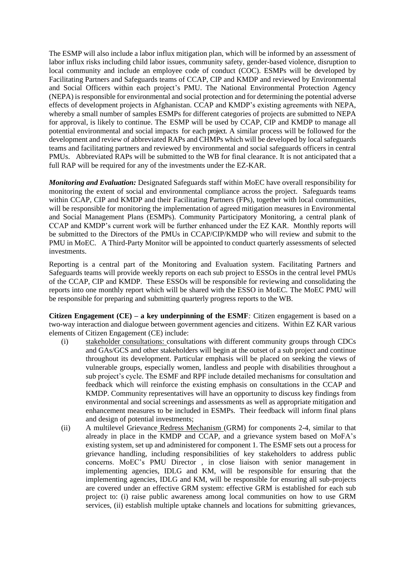The ESMP will also include a labor influx mitigation plan, which will be informed by an assessment of labor influx risks including child labor issues, community safety, gender-based violence, disruption to local community and include an employee code of conduct (COC). ESMPs will be developed by Facilitating Partners and Safeguards teams of CCAP, CIP and KMDP and reviewed by Environmental and Social Officers within each project's PMU. The National Environmental Protection Agency (NEPA) is responsible for environmental and social protection and for determining the potential adverse effects of development projects in Afghanistan. CCAP and KMDP's existing agreements with NEPA, whereby a small number of samples ESMPs for different categories of projects are submitted to NEPA for approval, is likely to continue. The ESMP will be used by CCAP, CIP and KMDP to manage all potential environmental and social impacts for each project. A similar process will be followed for the development and review of abbreviated RAPs and CHMPs which will be developed by local safeguards teams and facilitating partners and reviewed by environmental and social safeguards officers in central PMUs. Abbreviated RAPs will be submitted to the WB for final clearance. It is not anticipated that a full RAP will be required for any of the investments under the EZ-KAR.

*Monitoring and Evaluation:* Designated Safeguards staff within MoEC have overall responsibility for monitoring the extent of social and environmental compliance across the project. Safeguards teams within CCAP, CIP and KMDP and their Facilitating Partners (FPs), together with local communities, will be responsible for monitoring the implementation of agreed mitigation measures in Environmental and Social Management Plans (ESMPs). Community Participatory Monitoring, a central plank of CCAP and KMDP's current work will be further enhanced under the EZ KAR. Monthly reports will be submitted to the Directors of the PMUs in CCAP/CIP/KMDP who will review and submit to the PMU in MoEC. A Third-Party Monitor will be appointed to conduct quarterly assessments of selected investments.

Reporting is a central part of the Monitoring and Evaluation system. Facilitating Partners and Safeguards teams will provide weekly reports on each sub project to ESSOs in the central level PMUs of the CCAP, CIP and KMDP. These ESSOs will be responsible for reviewing and consolidating the reports into one monthly report which will be shared with the ESSO in MoEC. The MoEC PMU will be responsible for preparing and submitting quarterly progress reports to the WB.

**Citizen Engagement (CE) – a key underpinning of the ESMF***:* Citizen engagement is based on a two-way interaction and dialogue between government agencies and citizens. Within EZ KAR various elements of Citizen Engagement (CE) include:

- (i) stakeholder consultations: consultations with different community groups through CDCs and GAs/GCS and other stakeholders will begin at the outset of a sub project and continue throughout its development. Particular emphasis will be placed on seeking the views of vulnerable groups, especially women, landless and people with disabilities throughout a sub project's cycle. The ESMF and RPF include detailed mechanisms for consultation and feedback which will reinforce the existing emphasis on consultations in the CCAP and KMDP. Community representatives will have an opportunity to discuss key findings from environmental and social screenings and assessments as well as appropriate mitigation and enhancement measures to be included in ESMPs. Their feedback will inform final plans and design of potential investments;
- (ii) A multilevel Grievance Redress Mechanism (GRM) for components 2-4, similar to that already in place in the KMDP and CCAP, and a grievance system based on MoFA's existing system, set up and administered for component 1. The ESMF sets out a process for grievance handling, including responsibilities of key stakeholders to address public concerns. MoEC's PMU Director , in close liaison with senior management in implementing agencies, IDLG and KM, will be responsible for ensuring that the implementing agencies, IDLG and KM, will be responsible for ensuring all sub-projects are covered under an effective GRM system: effective GRM is established for each sub project to: (i) raise public awareness among local communities on how to use GRM services, (ii) establish multiple uptake channels and locations for submitting grievances,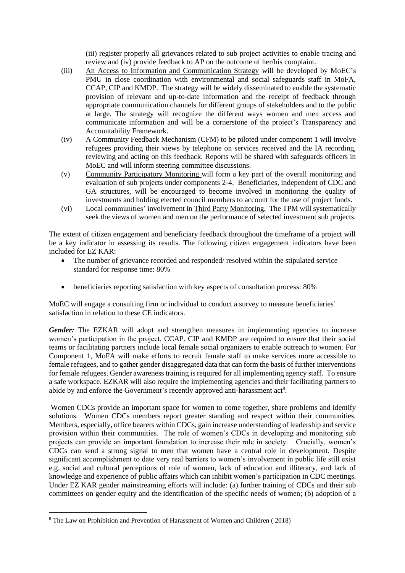(iii) register properly all grievances related to sub project activities to enable tracing and review and (iv) provide feedback to AP on the outcome of her/his complaint.

- (iii) An Access to Information and Communication Strategy will be developed by MoEC's PMU in close coordination with environmental and social safeguards staff in MoFA, CCAP, CIP and KMDP. The strategy will be widely disseminated to enable the systematic provision of relevant and up-to-date information and the receipt of feedback through appropriate communication channels for different groups of stakeholders and to the public at large. The strategy will recognize the different ways women and men access and communicate information and will be a cornerstone of the project's Transparency and Accountability Framework.
- (iv) A Community Feedback Mechanism (CFM) to be piloted under component 1 will involve refugees providing their views by telephone on services received and the IA recording, reviewing and acting on this feedback. Reports will be shared with safeguards officers in MoEC and will inform steering committee discussions.
- (v) Community Participatory Monitoring will form a key part of the overall monitoring and evaluation of sub projects under components 2-4. Beneficiaries, independent of CDC and GA structures, will be encouraged to become involved in monitoring the quality of investments and holding elected council members to account for the use of project funds.
- (vi) Local communities' involvement in Third Party Monitoring. The TPM will systematically seek the views of women and men on the performance of selected investment sub projects.

The extent of citizen engagement and beneficiary feedback throughout the timeframe of a project will be a key indicator in assessing its results. The following citizen engagement indicators have been included for EZ KAR:

- The number of grievance recorded and responded/ resolved within the stipulated service standard for response time: 80%
- beneficiaries reporting satisfaction with key aspects of consultation process: 80%

MoEC will engage a consulting firm or individual to conduct a survey to measure beneficiaries' satisfaction in relation to these CE indicators.

*Gender:* The EZKAR will adopt and strengthen measures in implementing agencies to increase women's participation in the project. CCAP. CIP and KMDP are required to ensure that their social teams or facilitating partners include local female social organizers to enable outreach to women. For Component 1, MoFA will make efforts to recruit female staff to make services more accessible to female refugees, and to gather gender disaggregated data that can form the basis of further interventions for female refugees. Gender awareness training is required for all implementing agency staff. To ensure a safe workspace. EZKAR will also require the implementing agencies and their facilitating partners to abide by and enforce the Government's recently approved anti-harassment act<sup>8</sup>.

Women CDCs provide an important space for women to come together, share problems and identify solutions. Women CDCs members report greater standing and respect within their communities. Members, especially, office bearers within CDCs, gain increase understanding of leadership and service provision within their communities. The role of women's CDCs in developing and monitoring sub projects can provide an important foundation to increase their role in society. Crucially, women's CDCs can send a strong signal to men that women have a central role in development. Despite significant accomplishment to date very real barriers to women's involvement in public life still exist e.g. social and cultural perceptions of role of women, lack of education and illiteracy, and lack of knowledge and experience of public affairs which can inhibit women's participation in CDC meetings. Under EZ KAR gender mainstreaming efforts will include: (a) further training of CDCs and their sub committees on gender equity and the identification of the specific needs of women; (b) adoption of a

<sup>8</sup> The Law on Prohibition and Prevention of Harassment of Women and Children ( 2018)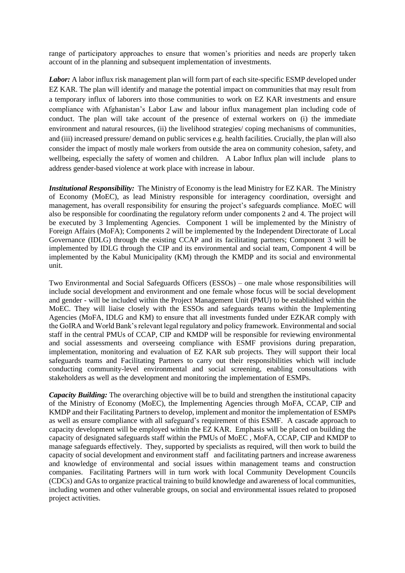range of participatory approaches to ensure that women's priorities and needs are properly taken account of in the planning and subsequent implementation of investments.

*Labor:* A labor influx risk management plan will form part of each site-specific ESMP developed under EZ KAR. The plan will identify and manage the potential impact on communities that may result from a temporary influx of laborers into those communities to work on EZ KAR investments and ensure compliance with Afghanistan's Labor Law and labour influx management plan including code of conduct. The plan will take account of the presence of external workers on (i) the immediate environment and natural resources, (ii) the livelihood strategies/ coping mechanisms of communities, and (iii) increased pressure/ demand on public services e.g. health facilities. Crucially, the plan will also consider the impact of mostly male workers from outside the area on community cohesion, safety, and wellbeing, especially the safety of women and children. A Labor Influx plan will include plans to address gender-based violence at work place with increase in labour.

*Institutional Responsibility:* The Ministry of Economy is the lead Ministry for EZ KAR. The Ministry of Economy (MoEC), as lead Ministry responsible for interagency coordination, oversight and management, has overall responsibility for ensuring the project's safeguards compliance. MoEC will also be responsible for coordinating the regulatory reform under components 2 and 4. The project will be executed by 3 Implementing Agencies. Component 1 will be implemented by the Ministry of Foreign Affairs (MoFA); Components 2 will be implemented by the Independent Directorate of Local Governance (IDLG) through the existing CCAP and its facilitating partners; Component 3 will be implemented by IDLG through the CIP and its environmental and social team, Component 4 will be implemented by the Kabul Municipality (KM) through the KMDP and its social and environmental unit.

Two Environmental and Social Safeguards Officers (ESSOs) – one male whose responsibilities will include social development and environment and one female whose focus will be social development and gender - will be included within the Project Management Unit (PMU) to be established within the MoEC. They will liaise closely with the ESSOs and safeguards teams within the Implementing Agencies (MoFA, IDLG and KM) to ensure that all investments funded under EZKAR comply with the GoIRA and World Bank's relevant legal regulatory and policy framework. Environmental and social staff in the central PMUs of CCAP, CIP and KMDP will be responsible for reviewing environmental and social assessments and overseeing compliance with ESMF provisions during preparation, implementation, monitoring and evaluation of EZ KAR sub projects. They will support their local safeguards teams and Facilitating Partners to carry out their responsibilities which will include conducting community-level environmental and social screening, enabling consultations with stakeholders as well as the development and monitoring the implementation of ESMPs.

*Capacity Building:* The overarching objective will be to build and strengthen the institutional capacity of the Ministry of Economy (MoEC), the Implementing Agencies through MoFA, CCAP, CIP and KMDP and their Facilitating Partners to develop, implement and monitor the implementation of ESMPs as well as ensure compliance with all safeguard's requirement of this ESMF. A cascade approach to capacity development will be employed within the EZ KAR. Emphasis will be placed on building the capacity of designated safeguards staff within the PMUs of MoEC , MoFA, CCAP, CIP and KMDP to manage safeguards effectively. They, supported by specialists as required, will then work to build the capacity of social development and environment staff and facilitating partners and increase awareness and knowledge of environmental and social issues within management teams and construction companies. Facilitating Partners will in turn work with local Community Development Councils (CDCs) and GAs to organize practical training to build knowledge and awareness of local communities, including women and other vulnerable groups, on social and environmental issues related to proposed project activities.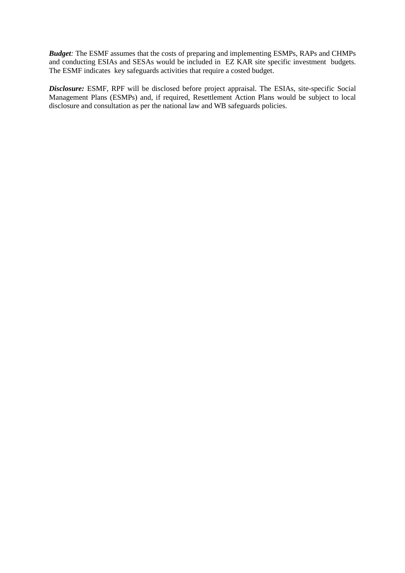*Budget:* The ESMF assumes that the costs of preparing and implementing ESMPs, RAPs and CHMPs and conducting ESIAs and SESAs would be included in EZ KAR site specific investment budgets. The ESMF indicates key safeguards activities that require a costed budget.

*Disclosure:* ESMF, RPF will be disclosed before project appraisal. The ESIAs, site-specific Social Management Plans (ESMPs) and, if required, Resettlement Action Plans would be subject to local disclosure and consultation as per the national law and WB safeguards policies.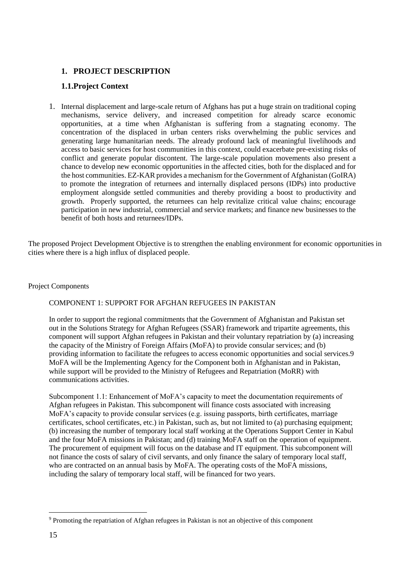# **1. PROJECT DESCRIPTION**

# **1.1.Project Context**

1. Internal displacement and large-scale return of Afghans has put a huge strain on traditional coping mechanisms, service delivery, and increased competition for already scarce economic opportunities, at a time when Afghanistan is suffering from a stagnating economy. The concentration of the displaced in urban centers risks overwhelming the public services and generating large humanitarian needs. The already profound lack of meaningful livelihoods and access to basic services for host communities in this context, could exacerbate pre-existing risks of conflict and generate popular discontent. The large-scale population movements also present a chance to develop new economic opportunities in the affected cities, both for the displaced and for the host communities. EZ-KAR provides a mechanism for the Government of Afghanistan (GoIRA) to promote the integration of returnees and internally displaced persons (IDPs) into productive employment alongside settled communities and thereby providing a boost to productivity and growth. Properly supported, the returnees can help revitalize critical value chains; encourage participation in new industrial, commercial and service markets; and finance new businesses to the benefit of both hosts and returnees/IDPs.

The proposed Project Development Objective is to strengthen the enabling environment for economic opportunities in cities where there is a high influx of displaced people.

#### Project Components

#### COMPONENT 1: SUPPORT FOR AFGHAN REFUGEES IN PAKISTAN

In order to support the regional commitments that the Government of Afghanistan and Pakistan set out in the Solutions Strategy for Afghan Refugees (SSAR) framework and tripartite agreements, this component will support Afghan refugees in Pakistan and their voluntary repatriation by (a) increasing the capacity of the Ministry of Foreign Affairs (MoFA) to provide consular services; and (b) providing information to facilitate the refugees to access economic opportunities and social services.9 MoFA will be the Implementing Agency for the Component both in Afghanistan and in Pakistan, while support will be provided to the Ministry of Refugees and Repatriation (MoRR) with communications activities.

Subcomponent 1.1: Enhancement of MoFA's capacity to meet the documentation requirements of Afghan refugees in Pakistan. This subcomponent will finance costs associated with increasing MoFA's capacity to provide consular services (e.g. issuing passports, birth certificates, marriage certificates, school certificates, etc.) in Pakistan, such as, but not limited to (a) purchasing equipment; (b) increasing the number of temporary local staff working at the Operations Support Center in Kabul and the four MoFA missions in Pakistan; and (d) training MoFA staff on the operation of equipment. The procurement of equipment will focus on the database and IT equipment. This subcomponent will not finance the costs of salary of civil servants, and only finance the salary of temporary local staff, who are contracted on an annual basis by MoFA. The operating costs of the MoFA missions, including the salary of temporary local staff, will be financed for two years.

<sup>9</sup> Promoting the repatriation of Afghan refugees in Pakistan is not an objective of this component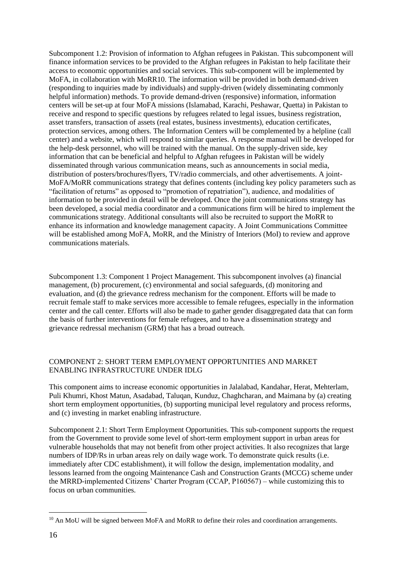Subcomponent 1.2: Provision of information to Afghan refugees in Pakistan. This subcomponent will finance information services to be provided to the Afghan refugees in Pakistan to help facilitate their access to economic opportunities and social services. This sub-component will be implemented by MoFA, in collaboration with MoRR10. The information will be provided in both demand-driven (responding to inquiries made by individuals) and supply-driven (widely disseminating commonly helpful information) methods. To provide demand-driven (responsive) information, information centers will be set-up at four MoFA missions (Islamabad, Karachi, Peshawar, Quetta) in Pakistan to receive and respond to specific questions by refugees related to legal issues, business registration, asset transfers, transaction of assets (real estates, business investments), education certificates, protection services, among others. The Information Centers will be complemented by a helpline (call center) and a website, which will respond to similar queries. A response manual will be developed for the help-desk personnel, who will be trained with the manual. On the supply-driven side, key information that can be beneficial and helpful to Afghan refugees in Pakistan will be widely disseminated through various communication means, such as announcements in social media, distribution of posters/brochures/flyers, TV/radio commercials, and other advertisements. A joint-MoFA/MoRR communications strategy that defines contents (including key policy parameters such as "facilitation of returns" as opposed to "promotion of repatriation"), audience, and modalities of information to be provided in detail will be developed. Once the joint communications strategy has been developed, a social media coordinator and a communications firm will be hired to implement the communications strategy. Additional consultants will also be recruited to support the MoRR to enhance its information and knowledge management capacity. A Joint Communications Committee will be established among MoFA, MoRR, and the Ministry of Interiors (MoI) to review and approve communications materials.

Subcomponent 1.3: Component 1 Project Management. This subcomponent involves (a) financial management, (b) procurement, (c) environmental and social safeguards, (d) monitoring and evaluation, and (d) the grievance redress mechanism for the component. Efforts will be made to recruit female staff to make services more accessible to female refugees, especially in the information center and the call center. Efforts will also be made to gather gender disaggregated data that can form the basis of further interventions for female refugees, and to have a dissemination strategy and grievance redressal mechanism (GRM) that has a broad outreach.

#### COMPONENT 2: SHORT TERM EMPLOYMENT OPPORTUNITIES AND MARKET ENABLING INFRASTRUCTURE UNDER IDLG

This component aims to increase economic opportunities in Jalalabad, Kandahar, Herat, Mehterlam, Puli Khumri, Khost Matun, Asadabad, Taluqan, Kunduz, Chaghcharan, and Maimana by (a) creating short term employment opportunities, (b) supporting municipal level regulatory and process reforms, and (c) investing in market enabling infrastructure.

Subcomponent 2.1: Short Term Employment Opportunities. This sub-component supports the request from the Government to provide some level of short-term employment support in urban areas for vulnerable households that may not benefit from other project activities. It also recognizes that large numbers of IDP/Rs in urban areas rely on daily wage work. To demonstrate quick results (i.e. immediately after CDC establishment), it will follow the design, implementation modality, and lessons learned from the ongoing Maintenance Cash and Construction Grants (MCCG) scheme under the MRRD-implemented Citizens' Charter Program (CCAP, P160567) – while customizing this to focus on urban communities.

 $10$  An MoU will be signed between MoFA and MoRR to define their roles and coordination arrangements.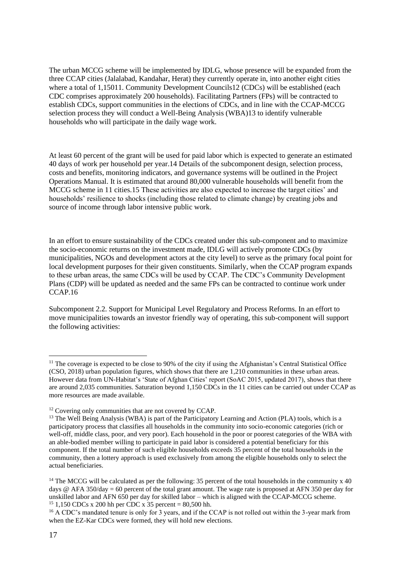The urban MCCG scheme will be implemented by IDLG, whose presence will be expanded from the three CCAP cities (Jalalabad, Kandahar, Herat) they currently operate in, into another eight cities where a total of 1,15011. Community Development Councils12 (CDCs) will be established (each CDC comprises approximately 200 households). Facilitating Partners (FPs) will be contracted to establish CDCs, support communities in the elections of CDCs, and in line with the CCAP-MCCG selection process they will conduct a Well-Being Analysis (WBA)13 to identify vulnerable households who will participate in the daily wage work.

At least 60 percent of the grant will be used for paid labor which is expected to generate an estimated 40 days of work per household per year.14 Details of the subcomponent design, selection process, costs and benefits, monitoring indicators, and governance systems will be outlined in the Project Operations Manual. It is estimated that around 80,000 vulnerable households will benefit from the MCCG scheme in 11 cities.15 These activities are also expected to increase the target cities' and households' resilience to shocks (including those related to climate change) by creating jobs and source of income through labor intensive public work.

In an effort to ensure sustainability of the CDCs created under this sub-component and to maximize the socio-economic returns on the investment made, IDLG will actively promote CDCs (by municipalities, NGOs and development actors at the city level) to serve as the primary focal point for local development purposes for their given constituents. Similarly, when the CCAP program expands to these urban areas, the same CDCs will be used by CCAP. The CDC's Community Development Plans (CDP) will be updated as needed and the same FPs can be contracted to continue work under CCAP.16

Subcomponent 2.2. Support for Municipal Level Regulatory and Process Reforms. In an effort to move municipalities towards an investor friendly way of operating, this sub-component will support the following activities:

 $11$  The coverage is expected to be close to 90% of the city if using the Afghanistan's Central Statistical Office (CSO, 2018) urban population figures, which shows that there are 1,210 communities in these urban areas. However data from UN-Habitat's 'State of Afghan Cities' report (SoAC 2015, updated 2017), shows that there are around 2,035 communities. Saturation beyond 1,150 CDCs in the 11 cities can be carried out under CCAP as more resources are made available.

<sup>&</sup>lt;sup>12</sup> Covering only communities that are not covered by CCAP.

<sup>&</sup>lt;sup>13</sup> The Well Being Analysis (WBA) is part of the Participatory Learning and Action (PLA) tools, which is a participatory process that classifies all households in the community into socio-economic categories (rich or well-off, middle class, poor, and very poor). Each household in the poor or poorest categories of the WBA with an able-bodied member willing to participate in paid labor is considered a potential beneficiary for this component. If the total number of such eligible households exceeds 35 percent of the total households in the community, then a lottery approach is used exclusively from among the eligible households only to select the actual beneficiaries.

<sup>&</sup>lt;sup>14</sup> The MCCG will be calculated as per the following: 35 percent of the total households in the community x 40 days @ AFA 350/day = 60 percent of the total grant amount. The wage rate is proposed at AFN 350 per day for unskilled labor and AFN 650 per day for skilled labor – which is aligned with the CCAP-MCCG scheme. <sup>15</sup> 1,150 CDCs x 200 hh per CDC x  $35$  percent = 80,500 hh.

<sup>&</sup>lt;sup>16</sup> A CDC's mandated tenure is only for 3 years, and if the CCAP is not rolled out within the 3-year mark from when the EZ-Kar CDCs were formed, they will hold new elections.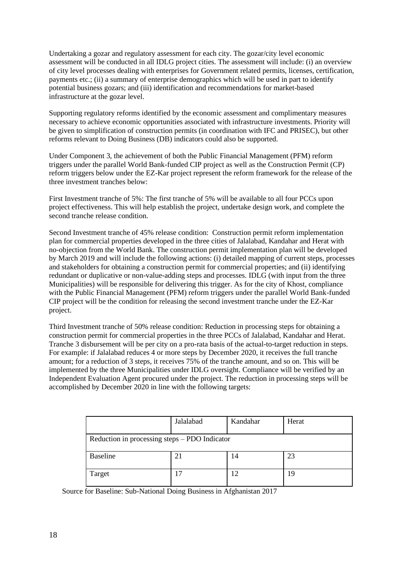Undertaking a gozar and regulatory assessment for each city. The gozar/city level economic assessment will be conducted in all IDLG project cities. The assessment will include: (i) an overview of city level processes dealing with enterprises for Government related permits, licenses, certification, payments etc.; (ii) a summary of enterprise demographics which will be used in part to identify potential business gozars; and (iii) identification and recommendations for market-based infrastructure at the gozar level.

Supporting regulatory reforms identified by the economic assessment and complimentary measures necessary to achieve economic opportunities associated with infrastructure investments. Priority will be given to simplification of construction permits (in coordination with IFC and PRISEC), but other reforms relevant to Doing Business (DB) indicators could also be supported.

Under Component 3, the achievement of both the Public Financial Management (PFM) reform triggers under the parallel World Bank-funded CIP project as well as the Construction Permit (CP) reform triggers below under the EZ-Kar project represent the reform framework for the release of the three investment tranches below:

First Investment tranche of 5%: The first tranche of 5% will be available to all four PCCs upon project effectiveness. This will help establish the project, undertake design work, and complete the second tranche release condition.

Second Investment tranche of 45% release condition: Construction permit reform implementation plan for commercial properties developed in the three cities of Jalalabad, Kandahar and Herat with no-objection from the World Bank. The construction permit implementation plan will be developed by March 2019 and will include the following actions: (i) detailed mapping of current steps, processes and stakeholders for obtaining a construction permit for commercial properties; and (ii) identifying redundant or duplicative or non-value-adding steps and processes. IDLG (with input from the three Municipalities) will be responsible for delivering this trigger. As for the city of Khost, compliance with the Public Financial Management (PFM) reform triggers under the parallel World Bank-funded CIP project will be the condition for releasing the second investment tranche under the EZ-Kar project.

Third Investment tranche of 50% release condition: Reduction in processing steps for obtaining a construction permit for commercial properties in the three PCCs of Jalalabad, Kandahar and Herat. Tranche 3 disbursement will be per city on a pro-rata basis of the actual-to-target reduction in steps. For example: if Jalalabad reduces 4 or more steps by December 2020, it receives the full tranche amount; for a reduction of 3 steps, it receives 75% of the tranche amount, and so on. This will be implemented by the three Municipalities under IDLG oversight. Compliance will be verified by an Independent Evaluation Agent procured under the project. The reduction in processing steps will be accomplished by December 2020 in line with the following targets:

|                                               | Jalalabad | Kandahar | Herat |  |
|-----------------------------------------------|-----------|----------|-------|--|
| Reduction in processing steps - PDO Indicator |           |          |       |  |
| <b>Baseline</b>                               | 21        | 14       | 23    |  |
| Target                                        |           | 12       | 19    |  |

Source for Baseline: Sub-National Doing Business in Afghanistan 2017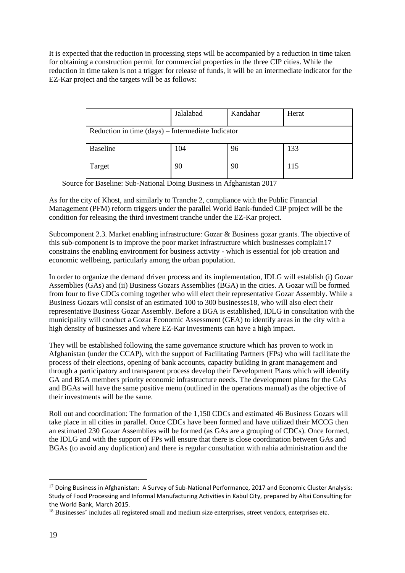It is expected that the reduction in processing steps will be accompanied by a reduction in time taken for obtaining a construction permit for commercial properties in the three CIP cities. While the reduction in time taken is not a trigger for release of funds, it will be an intermediate indicator for the EZ-Kar project and the targets will be as follows:

|                                                   | Jalalabad | Kandahar | Herat |  |
|---------------------------------------------------|-----------|----------|-------|--|
| Reduction in time (days) – Intermediate Indicator |           |          |       |  |
| <b>Baseline</b>                                   | 104       | 96       | 133   |  |
| Target                                            | 90        | 90       | 115   |  |

Source for Baseline: Sub-National Doing Business in Afghanistan 2017

As for the city of Khost, and similarly to Tranche 2, compliance with the Public Financial Management (PFM) reform triggers under the parallel World Bank-funded CIP project will be the condition for releasing the third investment tranche under the EZ-Kar project.

Subcomponent 2.3. Market enabling infrastructure: Gozar & Business gozar grants. The objective of this sub-component is to improve the poor market infrastructure which businesses complain17 constrains the enabling environment for business activity - which is essential for job creation and economic wellbeing, particularly among the urban population.

In order to organize the demand driven process and its implementation, IDLG will establish (i) Gozar Assemblies (GAs) and (ii) Business Gozars Assemblies (BGA) in the cities. A Gozar will be formed from four to five CDCs coming together who will elect their representative Gozar Assembly. While a Business Gozars will consist of an estimated 100 to 300 businesses18, who will also elect their representative Business Gozar Assembly. Before a BGA is established, IDLG in consultation with the municipality will conduct a Gozar Economic Assessment (GEA) to identify areas in the city with a high density of businesses and where EZ-Kar investments can have a high impact.

They will be established following the same governance structure which has proven to work in Afghanistan (under the CCAP), with the support of Facilitating Partners (FPs) who will facilitate the process of their elections, opening of bank accounts, capacity building in grant management and through a participatory and transparent process develop their Development Plans which will identify GA and BGA members priority economic infrastructure needs. The development plans for the GAs and BGAs will have the same positive menu (outlined in the operations manual) as the objective of their investments will be the same.

Roll out and coordination: The formation of the 1,150 CDCs and estimated 46 Business Gozars will take place in all cities in parallel. Once CDCs have been formed and have utilized their MCCG then an estimated 230 Gozar Assemblies will be formed (as GAs are a grouping of CDCs). Once formed, the IDLG and with the support of FPs will ensure that there is close coordination between GAs and BGAs (to avoid any duplication) and there is regular consultation with nahia administration and the

<sup>&</sup>lt;sup>17</sup> Doing Business in Afghanistan: A Survey of Sub-National Performance, 2017 and Economic Cluster Analysis: Study of Food Processing and Informal Manufacturing Activities in Kabul City, prepared by Altai Consulting for the World Bank, March 2015.

<sup>&</sup>lt;sup>18</sup> Businesses' includes all registered small and medium size enterprises, street vendors, enterprises etc.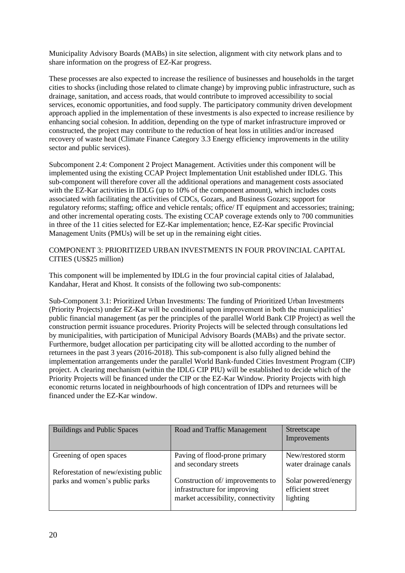Municipality Advisory Boards (MABs) in site selection, alignment with city network plans and to share information on the progress of EZ-Kar progress.

These processes are also expected to increase the resilience of businesses and households in the target cities to shocks (including those related to climate change) by improving public infrastructure, such as drainage, sanitation, and access roads, that would contribute to improved accessibility to social services, economic opportunities, and food supply. The participatory community driven development approach applied in the implementation of these investments is also expected to increase resilience by enhancing social cohesion. In addition, depending on the type of market infrastructure improved or constructed, the project may contribute to the reduction of heat loss in utilities and/or increased recovery of waste heat (Climate Finance Category 3.3 Energy efficiency improvements in the utility sector and public services).

Subcomponent 2.4: Component 2 Project Management. Activities under this component will be implemented using the existing CCAP Project Implementation Unit established under IDLG. This sub-component will therefore cover all the additional operations and management costs associated with the EZ-Kar activities in IDLG (up to 10% of the component amount), which includes costs associated with facilitating the activities of CDCs, Gozars, and Business Gozars; support for regulatory reforms; staffing; office and vehicle rentals; office/ IT equipment and accessories; training; and other incremental operating costs. The existing CCAP coverage extends only to 700 communities in three of the 11 cities selected for EZ-Kar implementation; hence, EZ-Kar specific Provincial Management Units (PMUs) will be set up in the remaining eight cities.

COMPONENT 3: PRIORITIZED URBAN INVESTMENTS IN FOUR PROVINCIAL CAPITAL CITIES (US\$25 million)

This component will be implemented by IDLG in the four provincial capital cities of Jalalabad, Kandahar, Herat and Khost. It consists of the following two sub-components:

Sub-Component 3.1: Prioritized Urban Investments: The funding of Prioritized Urban Investments (Priority Projects) under EZ-Kar will be conditional upon improvement in both the municipalities' public financial management (as per the principles of the parallel World Bank CIP Project) as well the construction permit issuance procedures. Priority Projects will be selected through consultations led by municipalities, with participation of Municipal Advisory Boards (MABs) and the private sector. Furthermore, budget allocation per participating city will be allotted according to the number of returnees in the past 3 years (2016-2018). This sub-component is also fully aligned behind the implementation arrangements under the parallel World Bank-funded Cities Investment Program (CIP) project. A clearing mechanism (within the IDLG CIP PIU) will be established to decide which of the Priority Projects will be financed under the CIP or the EZ-Kar Window. Priority Projects with high economic returns located in neighbourhoods of high concentration of IDPs and returnees will be financed under the EZ-Kar window.

| <b>Buildings and Public Spaces</b>                              | Road and Traffic Management                                                                           | Streetscape<br>Improvements                          |
|-----------------------------------------------------------------|-------------------------------------------------------------------------------------------------------|------------------------------------------------------|
| Greening of open spaces<br>Reforestation of new/existing public | Paving of flood-prone primary<br>and secondary streets                                                | New/restored storm<br>water drainage canals          |
| parks and women's public parks                                  | Construction of/improvements to<br>infrastructure for improving<br>market accessibility, connectivity | Solar powered/energy<br>efficient street<br>lighting |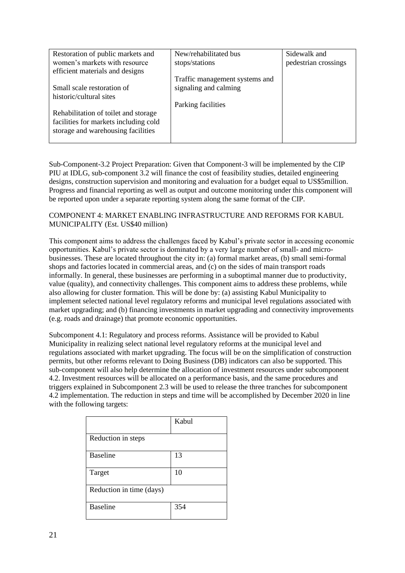| Restoration of public markets and     | New/rehabilitated bus          | Sidewalk and         |
|---------------------------------------|--------------------------------|----------------------|
| women's markets with resource         |                                |                      |
|                                       | stops/stations                 | pedestrian crossings |
| efficient materials and designs       |                                |                      |
|                                       | Traffic management systems and |                      |
| Small scale restoration of            | signaling and calming          |                      |
| historic/cultural sites               |                                |                      |
|                                       | Parking facilities             |                      |
| Rehabilitation of toilet and storage  |                                |                      |
| facilities for markets including cold |                                |                      |
|                                       |                                |                      |
| storage and warehousing facilities    |                                |                      |
|                                       |                                |                      |

Sub-Component-3.2 Project Preparation: Given that Component-3 will be implemented by the CIP PIU at IDLG, sub-component 3.2 will finance the cost of feasibility studies, detailed engineering designs, construction supervision and monitoring and evaluation for a budget equal to US\$5million. Progress and financial reporting as well as output and outcome monitoring under this component will be reported upon under a separate reporting system along the same format of the CIP.

#### COMPONENT 4: MARKET ENABLING INFRASTRUCTURE AND REFORMS FOR KABUL MUNICIPALITY (Est. US\$40 million)

This component aims to address the challenges faced by Kabul's private sector in accessing economic opportunities. Kabul's private sector is dominated by a very large number of small- and microbusinesses. These are located throughout the city in: (a) formal market areas, (b) small semi-formal shops and factories located in commercial areas, and (c) on the sides of main transport roads informally. In general, these businesses are performing in a suboptimal manner due to productivity, value (quality), and connectivity challenges. This component aims to address these problems, while also allowing for cluster formation. This will be done by: (a) assisting Kabul Municipality to implement selected national level regulatory reforms and municipal level regulations associated with market upgrading; and (b) financing investments in market upgrading and connectivity improvements (e.g. roads and drainage) that promote economic opportunities.

Subcomponent 4.1: Regulatory and process reforms. Assistance will be provided to Kabul Municipality in realizing select national level regulatory reforms at the municipal level and regulations associated with market upgrading. The focus will be on the simplification of construction permits, but other reforms relevant to Doing Business (DB) indicators can also be supported. This sub-component will also help determine the allocation of investment resources under subcomponent 4.2. Investment resources will be allocated on a performance basis, and the same procedures and triggers explained in Subcomponent 2.3 will be used to release the three tranches for subcomponent 4.2 implementation. The reduction in steps and time will be accomplished by December 2020 in line with the following targets:

|                          | Kabul |
|--------------------------|-------|
| Reduction in steps       |       |
| <b>Baseline</b>          | 13    |
| Target                   | 10    |
| Reduction in time (days) |       |
| <b>Baseline</b>          | 354   |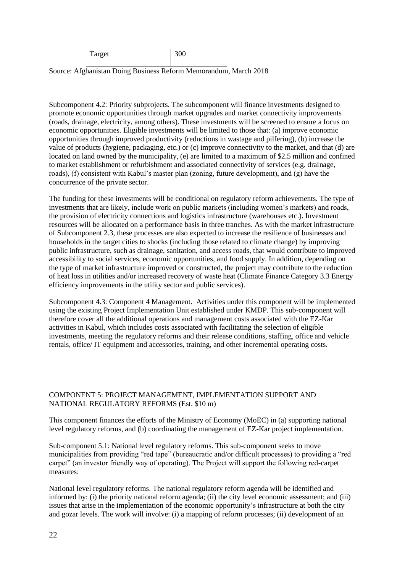| Target | 31 N<br><u>JUU</u> |  |
|--------|--------------------|--|
|        |                    |  |

Source: Afghanistan Doing Business Reform Memorandum, March 2018

Subcomponent 4.2: Priority subprojects. The subcomponent will finance investments designed to promote economic opportunities through market upgrades and market connectivity improvements (roads, drainage, electricity, among others). These investments will be screened to ensure a focus on economic opportunities. Eligible investments will be limited to those that: (a) improve economic opportunities through improved productivity (reductions in wastage and pilfering), (b) increase the value of products (hygiene, packaging, etc.) or (c) improve connectivity to the market, and that (d) are located on land owned by the municipality, (e) are limited to a maximum of \$2.5 million and confined to market establishment or refurbishment and associated connectivity of services (e.g. drainage, roads), (f) consistent with Kabul's master plan (zoning, future development), and (g) have the concurrence of the private sector.

The funding for these investments will be conditional on regulatory reform achievements. The type of investments that are likely, include work on public markets (including women's markets) and roads, the provision of electricity connections and logistics infrastructure (warehouses etc.). Investment resources will be allocated on a performance basis in three tranches. As with the market infrastructure of Subcomponent 2.3, these processes are also expected to increase the resilience of businesses and households in the target cities to shocks (including those related to climate change) by improving public infrastructure, such as drainage, sanitation, and access roads, that would contribute to improved accessibility to social services, economic opportunities, and food supply. In addition, depending on the type of market infrastructure improved or constructed, the project may contribute to the reduction of heat loss in utilities and/or increased recovery of waste heat (Climate Finance Category 3.3 Energy efficiency improvements in the utility sector and public services).

Subcomponent 4.3: Component 4 Management. Activities under this component will be implemented using the existing Project Implementation Unit established under KMDP. This sub-component will therefore cover all the additional operations and management costs associated with the EZ-Kar activities in Kabul, which includes costs associated with facilitating the selection of eligible investments, meeting the regulatory reforms and their release conditions, staffing, office and vehicle rentals, office/ IT equipment and accessories, training, and other incremental operating costs.

#### COMPONENT 5: PROJECT MANAGEMENT, IMPLEMENTATION SUPPORT AND NATIONAL REGULATORY REFORMS (Est. \$10 m)

This component finances the efforts of the Ministry of Economy (MoEC) in (a) supporting national level regulatory reforms, and (b) coordinating the management of EZ-Kar project implementation.

Sub-component 5.1: National level regulatory reforms. This sub-component seeks to move municipalities from providing "red tape" (bureaucratic and/or difficult processes) to providing a "red carpet" (an investor friendly way of operating). The Project will support the following red-carpet measures:

National level regulatory reforms. The national regulatory reform agenda will be identified and informed by: (i) the priority national reform agenda; (ii) the city level economic assessment; and (iii) issues that arise in the implementation of the economic opportunity's infrastructure at both the city and gozar levels. The work will involve: (i) a mapping of reform processes; (ii) development of an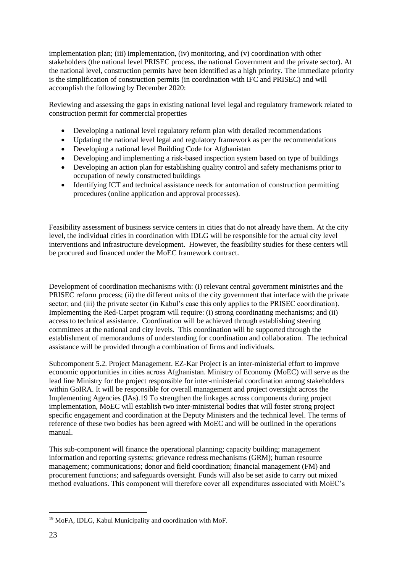implementation plan; (iii) implementation, (iv) monitoring, and (v) coordination with other stakeholders (the national level PRISEC process, the national Government and the private sector). At the national level, construction permits have been identified as a high priority. The immediate priority is the simplification of construction permits (in coordination with IFC and PRISEC) and will accomplish the following by December 2020:

Reviewing and assessing the gaps in existing national level legal and regulatory framework related to construction permit for commercial properties

- Developing a national level regulatory reform plan with detailed recommendations
- Updating the national level legal and regulatory framework as per the recommendations
- Developing a national level Building Code for Afghanistan
- Developing and implementing a risk-based inspection system based on type of buildings
- Developing an action plan for establishing quality control and safety mechanisms prior to occupation of newly constructed buildings
- Identifying ICT and technical assistance needs for automation of construction permitting procedures (online application and approval processes).

Feasibility assessment of business service centers in cities that do not already have them. At the city level, the individual cities in coordination with IDLG will be responsible for the actual city level interventions and infrastructure development. However, the feasibility studies for these centers will be procured and financed under the MoEC framework contract.

Development of coordination mechanisms with: (i) relevant central government ministries and the PRISEC reform process; (ii) the different units of the city government that interface with the private sector; and (iii) the private sector (in Kabul's case this only applies to the PRISEC coordination). Implementing the Red-Carpet program will require: (i) strong coordinating mechanisms; and (ii) access to technical assistance. Coordination will be achieved through establishing steering committees at the national and city levels. This coordination will be supported through the establishment of memorandums of understanding for coordination and collaboration. The technical assistance will be provided through a combination of firms and individuals.

Subcomponent 5.2. Project Management. EZ-Kar Project is an inter-ministerial effort to improve economic opportunities in cities across Afghanistan. Ministry of Economy (MoEC) will serve as the lead line Ministry for the project responsible for inter-ministerial coordination among stakeholders within GoIRA. It will be responsible for overall management and project oversight across the Implementing Agencies (IAs).19 To strengthen the linkages across components during project implementation, MoEC will establish two inter-ministerial bodies that will foster strong project specific engagement and coordination at the Deputy Ministers and the technical level. The terms of reference of these two bodies has been agreed with MoEC and will be outlined in the operations manual.

This sub-component will finance the operational planning; capacity building; management information and reporting systems; grievance redress mechanisms (GRM); human resource management; communications; donor and field coordination; financial management (FM) and procurement functions; and safeguards oversight. Funds will also be set aside to carry out mixed method evaluations. This component will therefore cover all expenditures associated with MoEC's

<sup>19</sup> MoFA, IDLG, Kabul Municipality and coordination with MoF.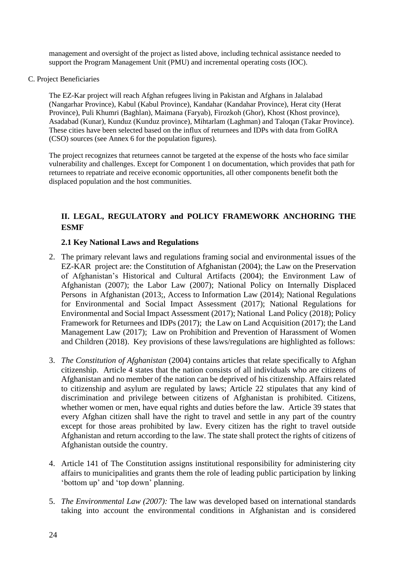management and oversight of the project as listed above, including technical assistance needed to support the Program Management Unit (PMU) and incremental operating costs (IOC).

C. Project Beneficiaries

The EZ-Kar project will reach Afghan refugees living in Pakistan and Afghans in Jalalabad (Nangarhar Province), Kabul (Kabul Province), Kandahar (Kandahar Province), Herat city (Herat Province), Puli Khumri (Baghlan), Maimana (Faryab), Firozkoh (Ghor), Khost (Khost province), Asadabad (Kunar), Kunduz (Kunduz province), Mihtarlam (Laghman) and Taloqan (Takar Province). These cities have been selected based on the influx of returnees and IDPs with data from GoIRA (CSO) sources (see Annex 6 for the population figures).

The project recognizes that returnees cannot be targeted at the expense of the hosts who face similar vulnerability and challenges. Except for Component 1 on documentation, which provides that path for returnees to repatriate and receive economic opportunities, all other components benefit both the displaced population and the host communities.

# **II. LEGAL, REGULATORY and POLICY FRAMEWORK ANCHORING THE ESMF**

## **2.1 Key National Laws and Regulations**

- 2. The primary relevant laws and regulations framing social and environmental issues of the EZ-KAR project are: the Constitution of Afghanistan (2004); the Law on the Preservation of Afghanistan's Historical and Cultural Artifacts (2004); the Environment Law of Afghanistan (2007); the Labor Law (2007); National Policy on Internally Displaced Persons in Afghanistan (2013;, Access to Information Law (2014); National Regulations for Environmental and Social Impact Assessment (2017); National Regulations for Environmental and Social Impact Assessment (2017); National Land Policy (2018); Policy Framework for Returnees and IDPs (2017); the Law on Land Acquisition (2017); the Land Management Law (2017); Law on Prohibition and Prevention of Harassment of Women and Children (2018). Key provisions of these laws/regulations are highlighted as follows:
- 3. *The Constitution of Afghanistan* (2004) contains articles that relate specifically to Afghan citizenship. Article 4 states that the nation consists of all individuals who are citizens of Afghanistan and no member of the nation can be deprived of his citizenship. Affairs related to citizenship and asylum are regulated by laws; Article 22 stipulates that any kind of discrimination and privilege between citizens of Afghanistan is prohibited. Citizens, whether women or men, have equal rights and duties before the law. Article 39 states that every Afghan citizen shall have the right to travel and settle in any part of the country except for those areas prohibited by law. Every citizen has the right to travel outside Afghanistan and return according to the law. The state shall protect the rights of citizens of Afghanistan outside the country.
- 4. Article 141 of The Constitution assigns institutional responsibility for administering city affairs to municipalities and grants them the role of leading public participation by linking 'bottom up' and 'top down' planning.
- 5. *The Environmental Law (2007):* The law was developed based on international standards taking into account the environmental conditions in Afghanistan and is considered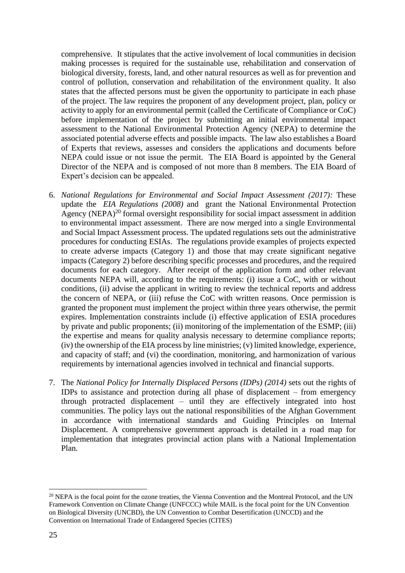comprehensive. It stipulates that the active involvement of local communities in decision making processes is required for the sustainable use, rehabilitation and conservation of biological diversity, forests, land, and other natural resources as well as for prevention and control of pollution, conservation and rehabilitation of the environment quality. It also states that the affected persons must be given the opportunity to participate in each phase of the project. The law requires the proponent of any development project, plan, policy or activity to apply for an environmental permit (called the Certificate of Compliance or CoC) before implementation of the project by submitting an initial environmental impact assessment to the National Environmental Protection Agency (NEPA) to determine the associated potential adverse effects and possible impacts. The law also establishes a Board of Experts that reviews, assesses and considers the applications and documents before NEPA could issue or not issue the permit. The EIA Board is appointed by the General Director of the NEPA and is composed of not more than 8 members. The EIA Board of Expert's decision can be appealed.

- 6. *National Regulations for Environmental and Social Impact Assessment (2017):* These update the *EIA Regulations (2008)* and grant the National Environmental Protection Agency (NEPA)<sup>20</sup> formal oversight responsibility for social impact assessment in addition to environmental impact assessment. There are now merged into a single Environmental and Social Impact Assessment process. The updated regulations sets out the administrative procedures for conducting ESIAs. The regulations provide examples of projects expected to create adverse impacts (Category 1) and those that may create significant negative impacts (Category 2) before describing specific processes and procedures, and the required documents for each category. After receipt of the application form and other relevant documents NEPA will, according to the requirements: (i) issue a CoC, with or without conditions, (ii) advise the applicant in writing to review the technical reports and address the concern of NEPA, or (iii) refuse the CoC with written reasons. Once permission is granted the proponent must implement the project within three years otherwise, the permit expires. Implementation constraints include (i) effective application of ESIA procedures by private and public proponents; (ii) monitoring of the implementation of the ESMP; (iii) the expertise and means for quality analysis necessary to determine compliance reports; (iv) the ownership of the EIA process by line ministries; (v) limited knowledge, experience, and capacity of staff; and (vi) the coordination, monitoring, and harmonization of various requirements by international agencies involved in technical and financial supports.
- 7. The *National Policy for Internally Displaced Persons (IDPs) (2014)* sets out the rights of IDPs to assistance and protection during all phase of displacement – from emergency through protracted displacement – until they are effectively integrated into host communities. The policy lays out the national responsibilities of the Afghan Government in accordance with international standards and Guiding Principles on Internal Displacement. A comprehensive government approach is detailed in a road map for implementation that integrates provincial action plans with a National Implementation Plan.

<sup>&</sup>lt;sup>20</sup> NEPA is the focal point for the ozone treaties, the Vienna Convention and the Montreal Protocol, and the UN Framework Convention on Climate Change (UNFCCC) while MAIL is the focal point for the UN Convention on Biological Diversity (UNCBD), the UN Convention to Combat Desertification (UNCCD) and the Convention on International Trade of Endangered Species (CITES)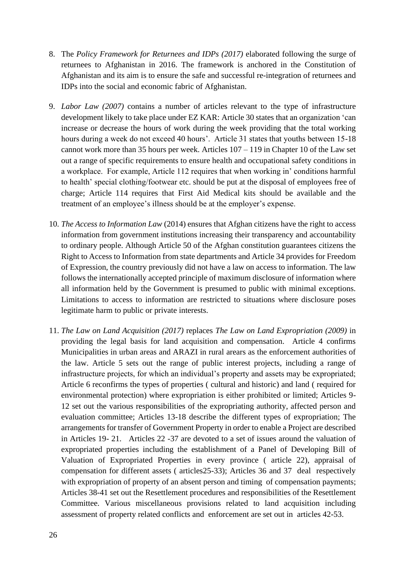- 8. The *Policy Framework for Returnees and IDPs (2017)* elaborated following the surge of returnees to Afghanistan in 2016. The framework is anchored in the Constitution of Afghanistan and its aim is to ensure the safe and successful re-integration of returnees and IDPs into the social and economic fabric of Afghanistan.
- 9. *Labor Law (2007)* contains a number of articles relevant to the type of infrastructure development likely to take place under EZ KAR: Article 30 states that an organization 'can increase or decrease the hours of work during the week providing that the total working hours during a week do not exceed 40 hours'. Article 31 states that youths between 15-18 cannot work more than 35 hours per week. Articles 107 – 119 in Chapter 10 of the Law set out a range of specific requirements to ensure health and occupational safety conditions in a workplace. For example, Article 112 requires that when working in' conditions harmful to health' special clothing/footwear etc. should be put at the disposal of employees free of charge; Article 114 requires that First Aid Medical kits should be available and the treatment of an employee's illness should be at the employer's expense.
- 10. *The Access to Information Law* (2014) ensures that Afghan citizens have the right to access information from government institutions increasing their transparency and accountability to ordinary people. Although Article 50 of the Afghan constitution guarantees citizens the Right to Access to Information from state departments and Article 34 provides for Freedom of Expression, the country previously did not have a law on access to information. The law follows the internationally accepted principle of maximum disclosure of information where all information held by the Government is presumed to public with minimal exceptions. Limitations to access to information are restricted to situations where disclosure poses legitimate harm to public or private interests.
- 11. *The Law on Land Acquisition (2017)* replaces *The Law on Land Expropriation (2009)* in providing the legal basis for land acquisition and compensation. Article 4 confirms Municipalities in urban areas and ARAZI in rural arears as the enforcement authorities of the law. Article 5 sets out the range of public interest projects, including a range of infrastructure projects, for which an individual's property and assets may be expropriated; Article 6 reconfirms the types of properties ( cultural and historic) and land ( required for environmental protection) where expropriation is either prohibited or limited; Articles 9- 12 set out the various responsibilities of the expropriating authority, affected person and evaluation committee; Articles 13-18 describe the different types of expropriation; The arrangements for transfer of Government Property in order to enable a Project are described in Articles 19- 21. Articles 22 -37 are devoted to a set of issues around the valuation of expropriated properties including the establishment of a Panel of Developing Bill of Valuation of Expropriated Properties in every province ( article 22), appraisal of compensation for different assets ( articles25-33); Articles 36 and 37 deal respectively with expropriation of property of an absent person and timing of compensation payments; Articles 38-41 set out the Resettlement procedures and responsibilities of the Resettlement Committee. Various miscellaneous provisions related to land acquisition including assessment of property related conflicts and enforcement are set out in articles 42-53.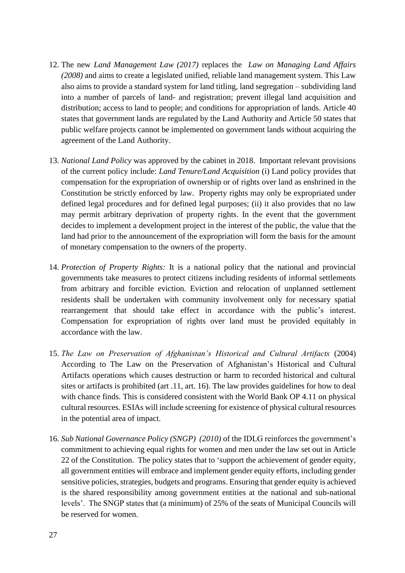- 12. The new *Land Management Law (2017)* replaces the *Law on Managing Land Affairs (2008)* and aims to create a legislated unified, reliable land management system. This Law also aims to provide a standard system for land titling, land segregation – subdividing land into a number of parcels of land- and registration; prevent illegal land acquisition and distribution; access to land to people; and conditions for appropriation of lands. Article 40 states that government lands are regulated by the Land Authority and Article 50 states that public welfare projects cannot be implemented on government lands without acquiring the agreement of the Land Authority.
- 13. *National Land Policy* was approved by the cabinet in 2018. Important relevant provisions of the current policy include: *Land Tenure/Land Acquisition* (i) Land policy provides that compensation for the expropriation of ownership or of rights over land as enshrined in the Constitution be strictly enforced by law. Property rights may only be expropriated under defined legal procedures and for defined legal purposes; (ii) it also provides that no law may permit arbitrary deprivation of property rights. In the event that the government decides to implement a development project in the interest of the public, the value that the land had prior to the announcement of the expropriation will form the basis for the amount of monetary compensation to the owners of the property.
- 14. *Protection of Property Rights:* It is a national policy that the national and provincial governments take measures to protect citizens including residents of informal settlements from arbitrary and forcible eviction. Eviction and relocation of unplanned settlement residents shall be undertaken with community involvement only for necessary spatial rearrangement that should take effect in accordance with the public's interest. Compensation for expropriation of rights over land must be provided equitably in accordance with the law.
- 15. *The Law on Preservation of Afghanistan's Historical and Cultural Artifacts* (2004) According to The Law on the Preservation of Afghanistan's Historical and Cultural Artifacts operations which causes destruction or harm to recorded historical and cultural sites or artifacts is prohibited (art .11, art. 16). The law provides guidelines for how to deal with chance finds. This is considered consistent with the World Bank OP 4.11 on physical cultural resources. ESIAs will include screening for existence of physical cultural resources in the potential area of impact.
- 16. *Sub National Governance Policy (SNGP) (2010)* of the IDLG reinforces the government's commitment to achieving equal rights for women and men under the law set out in Article 22 of the Constitution. The policy states that to 'support the achievement of gender equity, all government entities will embrace and implement gender equity efforts, including gender sensitive policies, strategies, budgets and programs. Ensuring that gender equity is achieved is the shared responsibility among government entities at the national and sub-national levels'. The SNGP states that (a minimum) of 25% of the seats of Municipal Councils will be reserved for women.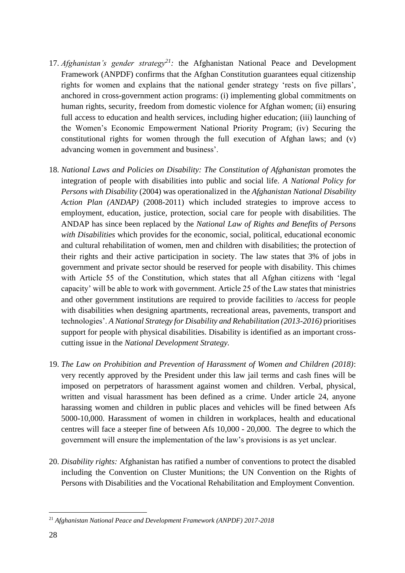- 17. *Afghanistan's gender strategy<sup>21</sup>:* the Afghanistan National Peace and Development Framework (ANPDF) confirms that the Afghan Constitution guarantees equal citizenship rights for women and explains that the national gender strategy 'rests on five pillars', anchored in cross-government action programs: (i) implementing global commitments on human rights, security, freedom from domestic violence for Afghan women; (ii) ensuring full access to education and health services, including higher education; (iii) launching of the Women's Economic Empowerment National Priority Program; (iv) Securing the constitutional rights for women through the full execution of Afghan laws; and (v) advancing women in government and business'.
- 18. *National Laws and Policies on Disability: The Constitution of Afghanistan* promotes the integration of people with disabilities into public and social life. *A National Policy for Persons with Disability* (2004) was operationalized in the *Afghanistan National Disability Action Plan (ANDAP)* (2008-2011) which included strategies to improve access to employment, education, justice, protection, social care for people with disabilities. The ANDAP has since been replaced by the *National Law of Rights and Benefits of Persons with Disabilities* which provides for the economic, social, political, educational economic and cultural rehabilitation of women, men and children with disabilities; the protection of their rights and their active participation in society. The law states that 3% of jobs in government and private sector should be reserved for people with disability. This chimes with Article 55 of the Constitution, which states that all Afghan citizens with 'legal capacity' will be able to work with government. Article 25 of the Law states that ministries and other government institutions are required to provide facilities to /access for people with disabilities when designing apartments, recreational areas, pavements, transport and technologies'. *A National Strategy for Disability and Rehabilitation (2013-2016)* prioritises support for people with physical disabilities. Disability is identified as an important crosscutting issue in the *National Development Strategy.*
- 19. *The Law on Prohibition and Prevention of Harassment of Women and Children (2018)*: very recently approved by the President under this law jail terms and cash fines will be imposed on perpetrators of harassment against women and children. Verbal, physical, written and visual harassment has been defined as a crime. Under article 24, anyone harassing women and children in public places and vehicles will be fined between Afs 5000-10,000. Harassment of women in children in workplaces, health and educational centres will face a steeper fine of between Afs 10,000 - 20,000. The degree to which the government will ensure the implementation of the law's provisions is as yet unclear.
- 20. *Disability rights:* Afghanistan has ratified a number of conventions to protect the disabled including the Convention on Cluster Munitions; the UN Convention on the Rights of Persons with Disabilities and the Vocational Rehabilitation and Employment Convention.

<sup>21</sup> *Afghanistan National Peace and Development Framework (ANPDF) 2017-2018*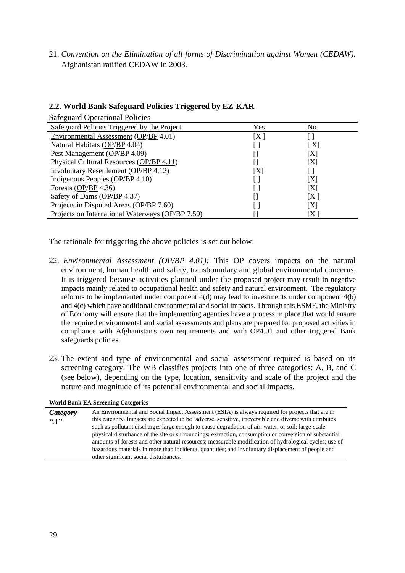21. *Convention on the Elimination of all forms of Discrimination against Women (CEDAW).*  Afghanistan ratified CEDAW in 2003.

| <b>Safeguard Operational Policies</b>       |     |                 |
|---------------------------------------------|-----|-----------------|
| Safeguard Policies Triggered by the Project | Yes | N <sub>0</sub>  |
| Environmental Assessment (OP/BP 4.01)       | [X] |                 |
| Natural Habitats (OP/BP 4.04)               |     | $\vert X \vert$ |
| Pest Management (OP/BP 4.09)                |     | IXI             |
| Physical Cultural Resources (OP/BP 4.11)    |     |                 |

Involuntary Resettlement  $\overline{(OP/BP 4.12)}$  $\overline{(OP/BP 4.12)}$  $\overline{(OP/BP 4.12)}$  $\overline{(OP/BP 4.12)}$  [ ] Indigenous Peoples  $OP/BP \, 4.10$  $OP/BP \, 4.10$  $OP/BP \, 4.10$  [ ] [X] Forests [\(OP/](http://intranet.worldbank.org/WBSITE/INTRANET/OPSMANUAL/0,,contentMDK:20064668~pagePK:60001255~piPK:60000911~theSitePK:210385,00.html)[BP](http://intranet.worldbank.org/WBSITE/INTRANET/OPSMANUAL/0,,contentMDK:20141282~pagePK:60001255~piPK:60000911~theSitePK:210385,00.html) 4.36) [ ] [X]

#### **2.2. World Bank Safeguard Policies Triggered by EZ-KAR**

Safety of Dams  $\overline{(OP/BP 4.37)}$  $\overline{(OP/BP 4.37)}$  $\overline{(OP/BP 4.37)}$  $\overline{(OP/BP 4.37)}$  [] [X ] Projects in Disputed Areas [\(OP](http://intranet.worldbank.org/WBSITE/INTRANET/OPSMANUAL/0,,contentMDK:20064615~pagePK:60001255~piPK:60000911~theSitePK:210385,00.html)[/BP](http://intranet.worldbank.org/WBSITE/INTRANET/OPSMANUAL/0,,contentMDK:20064640~pagePK:60001255~piPK:60000911~theSitePK:210385,00.html) 7.60) [ ] [X] Projects on International Waterways [\(OP](http://intranet.worldbank.org/WBSITE/INTRANET/OPSMANUAL/0,,contentMDK:20064667~pagePK:60001255~piPK:60000911~theSitePK:210385,00.html)[/BP](http://intranet.worldbank.org/WBSITE/INTRANET/OPSMANUAL/0,,contentMDK:20064701~pagePK:60001255~piPK:60000911~theSitePK:210385,00.html) 7.50) [] [X ]

The rationale for triggering the above policies is set out below:

- 22. *Environmental Assessment (OP/BP 4.01):* This OP covers impacts on the natural environment, human health and safety, transboundary and global environmental concerns. It is triggered because activities planned under the proposed project may result in negative impacts mainly related to occupational health and safety and natural environment. The regulatory reforms to be implemented under component 4(d) may lead to investments under component 4(b) and 4(c) which have additional environmental and social impacts. Through this ESMF, the Ministry of Economy will ensure that the implementing agencies have a process in place that would ensure the required environmental and social assessments and plans are prepared for proposed activities in compliance with Afghanistan's own requirements and with OP4.01 and other triggered Bank safeguards policies.
- 23. The extent and type of environmental and social assessment required is based on its screening category. The WB classifies projects into one of three categories: A, B, and C (see below), depending on the type, location, sensitivity and scale of the project and the nature and magnitude of its potential environmental and social impacts.

|          | WOLLG DAIL DA SCLEEDING CALEGOLIES                                                                      |
|----------|---------------------------------------------------------------------------------------------------------|
| Category | An Environmental and Social Impact Assessment (ESIA) is always required for projects that are in        |
| "A"      | this category. Impacts are expected to be 'adverse, sensitive, irreversible and diverse with attributes |
|          | such as pollutant discharges large enough to cause degradation of air, water, or soil; large-scale      |
|          | physical disturbance of the site or surroundings; extraction, consumption or conversion of substantial  |
|          | amounts of forests and other natural resources; measurable modification of hydrological cycles; use of  |
|          | hazardous materials in more than incidental quantities; and involuntary displacement of people and      |
|          | other significant social disturbances.                                                                  |

**World Bank EA Screening Categories**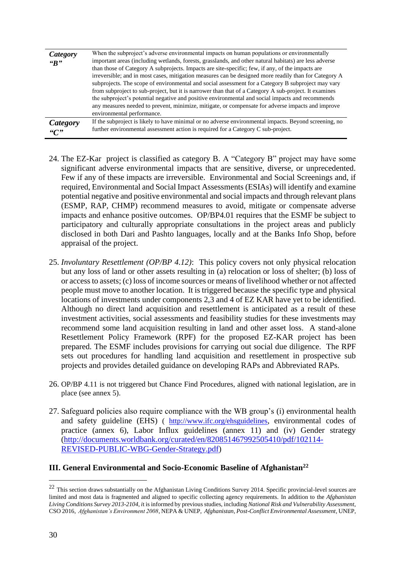| Category<br>R | When the subproject's adverse environmental impacts on human populations or environmentally<br>important areas (including wetlands, forests, grasslands, and other natural habitats) are less adverse<br>than those of Category A subprojects. Impacts are site-specific; few, if any, of the impacts are<br>irreversible; and in most cases, mitigation measures can be designed more readily than for Category A<br>subprojects. The scope of environmental and social assessment for a Category B subproject may vary<br>from subproject to sub-project, but it is narrower than that of a Category A sub-project. It examines<br>the subproject's potential negative and positive environmental and social impacts and recommends<br>any measures needed to prevent, minimize, mitigate, or compensate for adverse impacts and improve<br>environmental performance. |
|---------------|--------------------------------------------------------------------------------------------------------------------------------------------------------------------------------------------------------------------------------------------------------------------------------------------------------------------------------------------------------------------------------------------------------------------------------------------------------------------------------------------------------------------------------------------------------------------------------------------------------------------------------------------------------------------------------------------------------------------------------------------------------------------------------------------------------------------------------------------------------------------------|
| Category      | If the subproject is likely to have minimal or no adverse environmental impacts. Beyond screening, no                                                                                                                                                                                                                                                                                                                                                                                                                                                                                                                                                                                                                                                                                                                                                                    |
| C             | further environmental assessment action is required for a Category C sub-project.                                                                                                                                                                                                                                                                                                                                                                                                                                                                                                                                                                                                                                                                                                                                                                                        |

- 24. The EZ-Kar project is classified as category B. A "Category B" project may have some significant adverse environmental impacts that are sensitive, diverse, or unprecedented. Few if any of these impacts are irreversible. Environmental and Social Screenings and, if required, Environmental and Social Impact Assessments (ESIAs) will identify and examine potential negative and positive environmental and social impacts and through relevant plans (ESMP, RAP, CHMP) recommend measures to avoid, mitigate or compensate adverse impacts and enhance positive outcomes. OP/BP4.01 requires that the ESMF be subject to participatory and culturally appropriate consultations in the project areas and publicly disclosed in both Dari and Pashto languages, locally and at the Banks Info Shop, before appraisal of the project.
- 25. *Involuntary Resettlement (OP/BP 4.12)*: This policy covers not only physical relocation but any loss of land or other assets resulting in (a) relocation or loss of shelter; (b) loss of or access to assets; (c) loss of income sources or means of livelihood whether or not affected people must move to another location. It is triggered because the specific type and physical locations of investments under components 2,3 and 4 of EZ KAR have yet to be identified. Although no direct land acquisition and resettlement is anticipated as a result of these investment activities, social assessments and feasibility studies for these investments may recommend some land acquisition resulting in land and other asset loss. A stand-alone Resettlement Policy Framework (RPF) for the proposed EZ-KAR project has been prepared. The ESMF includes provisions for carrying out social due diligence. The RPF sets out procedures for handling land acquisition and resettlement in prospective sub projects and provides detailed guidance on developing RAPs and Abbreviated RAPs.
- 26. OP/BP 4.11 is not triggered but Chance Find Procedures, aligned with national legislation, are in place (see annex 5).
- 27. Safeguard policies also require compliance with the WB group's (i) environmental health and safety guideline (EHS) ( <http://www.ifc.org/ehsguidelines>, environmental codes of practice (annex 6), Labor Influx guidelines (annex 11) and (iv) Gender strategy [\(http://documents.worldbank.org/curated/en/820851467992505410/pdf/102114-](http://documents.worldbank.org/curated/en/820851467992505410/pdf/102114-REVISED-PUBLIC-WBG-Gender-Strategy.pdf) [REVISED-PUBLIC-WBG-Gender-Strategy.pdf\)](http://documents.worldbank.org/curated/en/820851467992505410/pdf/102114-REVISED-PUBLIC-WBG-Gender-Strategy.pdf)

#### **III. General Environmental and Socio-Economic Baseline of Afghanistan<sup>22</sup>**

 $22$  This section draws substantially on the Afghanistan Living Conditions Survey 2014. Specific provincial-level sources are limited and most data is fragmented and aligned to specific collecting agency requirements. In addition to the *Afghanistan Living Conditions Survey 2013-2104, i*t is informed by previous studies, including *National Risk and Vulnerability Assessment*, CSO 2016, *Afghanistan's Environment 2008*, NEPA & UNEP, *Afghanistan, Post-Conflict Environmental Assessment*, UNEP,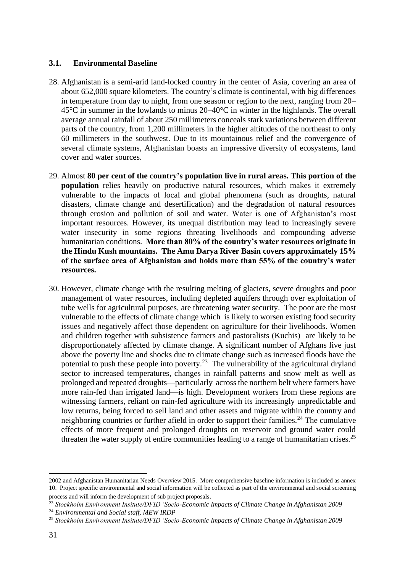#### **3.1. Environmental Baseline**

- 28. Afghanistan is a semi-arid land-locked country in the center of Asia, covering an area of about 652,000 square kilometers. The country's climate is continental, with big differences in temperature from day to night, from one season or region to the next, ranging from 20– 45°C in summer in the lowlands to minus 20–40°C in winter in the highlands. The overall average annual rainfall of about 250 millimeters conceals stark variations between different parts of the country, from 1,200 millimeters in the higher altitudes of the northeast to only 60 millimeters in the southwest. Due to its mountainous relief and the convergence of several climate systems, Afghanistan boasts an impressive diversity of ecosystems, land cover and water sources.
- 29. Almost **80 per cent of the country's population live in rural areas. This portion of the population** relies heavily on productive natural resources, which makes it extremely vulnerable to the impacts of local and global phenomena (such as droughts, natural disasters, climate change and desertification) and the degradation of natural resources through erosion and pollution of soil and water. Water is one of Afghanistan's most important resources. However, its unequal distribution may lead to increasingly severe water insecurity in some regions threating livelihoods and compounding adverse humanitarian conditions. **More than 80% of the country's water resources originate in the Hindu Kush mountains. The Amu Darya River Basin covers approximately 15% of the surface area of Afghanistan and holds more than 55% of the country's water resources.**
- 30. However, climate change with the resulting melting of glaciers, severe droughts and poor management of water resources, including depleted aquifers through over exploitation of tube wells for agricultural purposes, are threatening water security. The poor are the most vulnerable to the effects of climate change which is likely to worsen existing food security issues and negatively affect those dependent on agriculture for their livelihoods. Women and children together with subsistence farmers and pastoralists (Kuchis) are likely to be disproportionately affected by climate change. A significant number of Afghans live just above the poverty line and shocks due to climate change such as increased floods have the potential to push these people into poverty.<sup>23</sup> The vulnerability of the agricultural dryland sector to increased temperatures, changes in rainfall patterns and snow melt as well as prolonged and repeated droughts—particularly across the northern belt where farmers have more rain-fed than irrigated land—is high. Development workers from these regions are witnessing farmers, reliant on rain-fed agriculture with its increasingly unpredictable and low returns, being forced to sell land and other assets and migrate within the country and neighboring countries or further afield in order to support their families.<sup>24</sup> The cumulative effects of more frequent and prolonged droughts on reservoir and ground water could threaten the water supply of entire communities leading to a range of humanitarian crises.<sup>25</sup>

<sup>2002</sup> and Afghanistan Humanitarian Needs Overview 2015. More comprehensive baseline information is included as annex 10. Project specific environmental and social information will be collected as part of the environmental and social screening process and will inform the development of sub project proposals.

<sup>23</sup> *Stockholm Environment Insitute/DFID 'Socio-Economic Impacts of Climate Change in Afghanistan 2009*

<sup>24</sup> *Environmental and Social staff, MEW IRDP* 

<sup>25</sup> *Stockholm Environment Insitute/DFID 'Socio-Economic Impacts of Climate Change in Afghanistan 2009*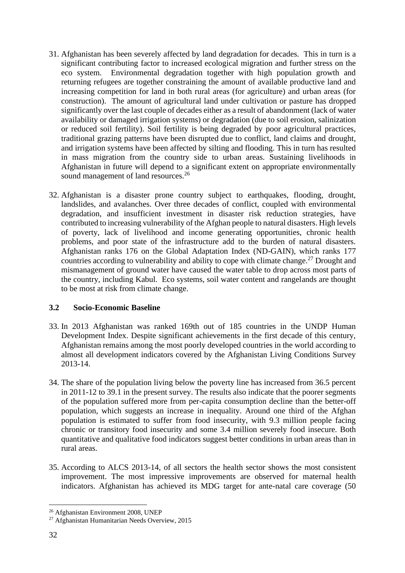- 31. Afghanistan has been severely affected by land degradation for decades. This in turn is a significant contributing factor to increased ecological migration and further stress on the eco system. Environmental degradation together with high population growth and returning refugees are together constraining the amount of available productive land and increasing competition for land in both rural areas (for agriculture) and urban areas (for construction). The amount of agricultural land under cultivation or pasture has dropped significantly over the last couple of decades either as a result of abandonment (lack of water availability or damaged irrigation systems) or degradation (due to soil erosion, salinization or reduced soil fertility). Soil fertility is being degraded by poor agricultural practices, traditional grazing patterns have been disrupted due to conflict, land claims and drought, and irrigation systems have been affected by silting and flooding. This in turn has resulted in mass migration from the country side to urban areas. Sustaining livelihoods in Afghanistan in future will depend to a significant extent on appropriate environmentally sound management of land resources.<sup>26</sup>
- 32. Afghanistan is a disaster prone country subject to earthquakes, flooding, drought, landslides, and avalanches. Over three decades of conflict, coupled with environmental degradation, and insufficient investment in disaster risk reduction strategies, have contributed to increasing vulnerability of the Afghan people to natural disasters. High levels of poverty, lack of livelihood and income generating opportunities, chronic health problems, and poor state of the infrastructure add to the burden of natural disasters. Afghanistan ranks 176 on the Global Adaptation Index (ND-GAIN), which ranks 177 countries according to vulnerability and ability to cope with climate change.<sup>27</sup> Drought and mismanagement of ground water have caused the water table to drop across most parts of the country, including Kabul. Eco systems, soil water content and rangelands are thought to be most at risk from climate change.

# **3.2 Socio-Economic Baseline**

- 33. In 2013 Afghanistan was ranked 169th out of 185 countries in the UNDP Human Development Index. Despite significant achievements in the first decade of this century, Afghanistan remains among the most poorly developed countries in the world according to almost all development indicators covered by the Afghanistan Living Conditions Survey 2013-14.
- 34. The share of the population living below the poverty line has increased from 36.5 percent in 2011-12 to 39.1 in the present survey. The results also indicate that the poorer segments of the population suffered more from per-capita consumption decline than the better-off population, which suggests an increase in inequality. Around one third of the Afghan population is estimated to suffer from food insecurity, with 9.3 million people facing chronic or transitory food insecurity and some 3.4 million severely food insecure. Both quantitative and qualitative food indicators suggest better conditions in urban areas than in rural areas.
- 35. According to ALCS 2013-14, of all sectors the health sector shows the most consistent improvement. The most impressive improvements are observed for maternal health indicators. Afghanistan has achieved its MDG target for ante-natal care coverage (50

<sup>26</sup> Afghanistan Environment 2008, UNEP

<sup>27</sup> Afghanistan Humanitarian Needs Overview, 2015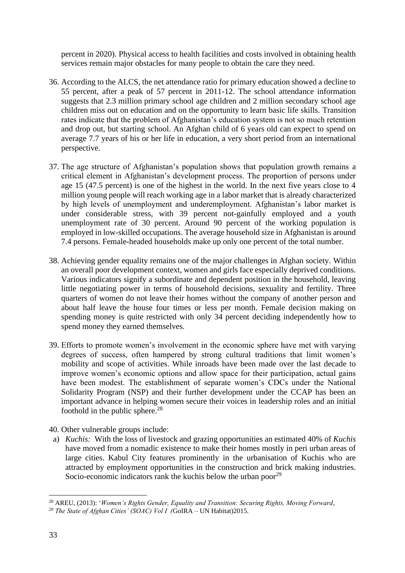percent in 2020). Physical access to health facilities and costs involved in obtaining health services remain major obstacles for many people to obtain the care they need.

- 36. According to the ALCS, the net attendance ratio for primary education showed a decline to 55 percent, after a peak of 57 percent in 2011-12. The school attendance information suggests that 2.3 million primary school age children and 2 million secondary school age children miss out on education and on the opportunity to learn basic life skills. Transition rates indicate that the problem of Afghanistan's education system is not so much retention and drop out, but starting school. An Afghan child of 6 years old can expect to spend on average 7.7 years of his or her life in education, a very short period from an international perspective.
- 37. The age structure of Afghanistan's population shows that population growth remains a critical element in Afghanistan's development process. The proportion of persons under age 15 (47.5 percent) is one of the highest in the world. In the next five years close to 4 million young people will reach working age in a labor market that is already characterized by high levels of unemployment and underemployment. Afghanistan's labor market is under considerable stress, with 39 percent not-gainfully employed and a youth unemployment rate of 30 percent. Around 90 percent of the working population is employed in low-skilled occupations. The average household size in Afghanistan is around 7.4 persons. Female-headed households make up only one percent of the total number.
- 38. Achieving gender equality remains one of the major challenges in Afghan society. Within an overall poor development context, women and girls face especially deprived conditions. Various indicators signify a subordinate and dependent position in the household, leaving little negotiating power in terms of household decisions, sexuality and fertility. Three quarters of women do not leave their homes without the company of another person and about half leave the house four times or less per month. Female decision making on spending money is quite restricted with only 34 percent deciding independently how to spend money they earned themselves.
- 39. Efforts to promote women's involvement in the economic sphere have met with varying degrees of success, often hampered by strong cultural traditions that limit women's mobility and scope of activities. While inroads have been made over the last decade to improve women's economic options and allow space for their participation, actual gains have been modest. The establishment of separate women's CDCs under the National Solidarity Program (NSP) and their further development under the CCAP has been an important advance in helping women secure their voices in leadership roles and an initial foothold in the public sphere. $^{28}$
- 40. Other vulnerable groups include:
- a) *Kuchis:* With the loss of livestock and grazing opportunities an estimated 40% of *Kuchis*  have moved from a nomadic existence to make their homes mostly in peri urban areas of large cities. Kabul City features prominently in the urbanisation of Kuchis who are attracted by employment opportunities in the construction and brick making industries. Socio-economic indicators rank the kuchis below the urban poor<sup>29</sup>

<sup>28</sup> AREU, (2013): '*Women's Rights Gender, Equality and Transition: Securing Rights, Moving Forward*,

<sup>&</sup>lt;sup>29</sup> *The State of Afghan Cities' (SOAC) Vol I (GoIRA – UN Habitat)2015.*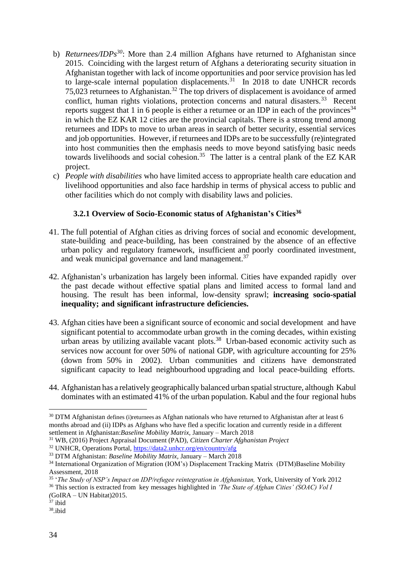- b) *Returnees/IDPs<sup>30</sup>*: More than 2.4 million Afghans have returned to Afghanistan since 2015. Coinciding with the largest return of Afghans a deteriorating security situation in Afghanistan together with lack of income opportunities and poor service provision has led to large-scale internal population displacements.<sup>31</sup> In 2018 to date UNHCR records 75,023 returnees to Afghanistan.<sup>32</sup> The top drivers of displacement is avoidance of armed conflict, human rights violations, protection concerns and natural disasters.<sup>33</sup> Recent reports suggest that 1 in 6 people is either a returnee or an IDP in each of the provinces<sup>34</sup> in which the EZ KAR 12 cities are the provincial capitals. There is a strong trend among returnees and IDPs to move to urban areas in search of better security, essential services and job opportunities. However, if returnees and IDPs are to be successfully (re)integrated into host communities then the emphasis needs to move beyond satisfying basic needs towards livelihoods and social cohesion.<sup>35</sup> The latter is a central plank of the EZ KAR project.
- c) *People with disabilities* who have limited access to appropriate health care education and livelihood opportunities and also face hardship in terms of physical access to public and other facilities which do not comply with disability laws and policies.

# **3.2.1 Overview of Socio-Economic status of Afghanistan's Cities<sup>36</sup>**

- 41. The full potential of Afghan cities as driving forces of social and economic development, state-building and peace-building, has been constrained by the absence of an effective urban policy and regulatory framework, insufficient and poorly coordinated investment, and weak municipal governance and land management.<sup>37</sup>
- 42. Afghanistan's urbanization has largely been informal. Cities have expanded rapidly over the past decade without effective spatial plans and limited access to formal land and housing. The result has been informal, low-density sprawl; **increasing socio-spatial inequality; and significant infrastructure deficiencies.**
- 43. Afghan cities have been a significant source of economic and social development and have significant potential to accommodate urban growth in the coming decades, within existing urban areas by utilizing available vacant plots.<sup>38</sup> Urban-based economic activity such as services now account for over 50% of national GDP, with agriculture accounting for 25% (down from 50% in 2002). Urban communities and citizens have demonstrated significant capacity to lead neighbourhood upgrading and local peace-building efforts.
- 44. Afghanistan has a relatively geographically balanced urban spatialstructure, although Kabul dominates with an estimated 41% of the urban population. Kabul and the four regional hubs

<sup>&</sup>lt;sup>30</sup> DTM Afghanistan defines (i)returnees as Afghan nationals who have returned to Afghanistan after at least 6 months abroad and (ii) IDPs as Afghans who have fled a specific location and currently reside in a different settlement in Afghanistan:*Baseline Mobility Matrix,* January – March 2018

<sup>31</sup> WB, (2016) Project Appraisal Document (PAD), *Citizen Charter Afghanistan Project* 

<sup>32</sup> UNHCR, Operations Portal,<https://data2.unhcr.org/en/country/afg>

<sup>33</sup> DTM Afghanistan: *Baseline Mobility Matrix,* January – March 2018

<sup>&</sup>lt;sup>34</sup> International Organization of Migration (IOM's) Displacement Tracking Matrix (DTM)Baseline Mobility Assessment, 2018

<sup>&</sup>lt;sup>35</sup> 'The Study of NSP's Impact on IDP/refugee reintegration in Afghanistan, York, University of York 2012

<sup>36</sup> This section is extracted from key messages highlighted in *'The State of Afghan Cities' (SOAC) Vol I (*GoIRA – UN Habitat)2015.

 $37$  ibid

<sup>38</sup> *.*ibid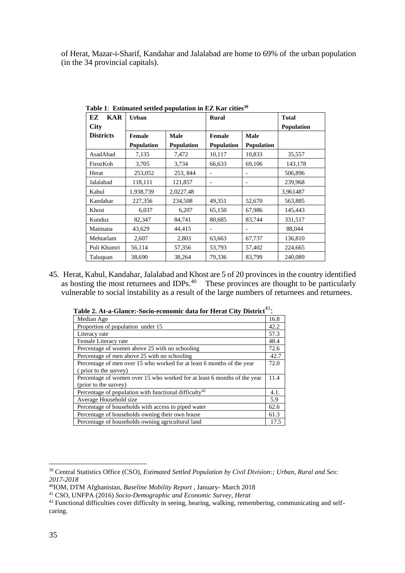of Herat, Mazar-i-Sharif, Kandahar and Jalalabad are home to 69% of the urban population (in the 34 provincial capitals).

| EZ<br>KAR        | Urban             |                   | <b>Rural</b>      |                   | <b>Total</b>      |
|------------------|-------------------|-------------------|-------------------|-------------------|-------------------|
| <b>City</b>      |                   |                   |                   |                   | <b>Population</b> |
| <b>Districts</b> | Female            | <b>Male</b>       | <b>Female</b>     | <b>Male</b>       |                   |
|                  | <b>Population</b> | <b>Population</b> | <b>Population</b> | <b>Population</b> |                   |
| AsadAbad         | 7,135             | 7,472             | 10,117            | 10,833            | 35,557            |
| FirozKoh         | 3,705             | 3,734             | 66.633            | 69,106            | 143,178           |
| Herat            | 253,052           | 253, 844          |                   |                   | 506,896           |
| Jalalabad        | 118,111           | 121,857           |                   |                   | 239,968           |
| Kabul            | 1,938,739         | 2,0227,48         |                   |                   | 3,961487          |
| Kandahar         | 227,356           | 234,508           | 49,351            | 52,670            | 563,885           |
| Khost            | 6,037             | 6,207             | 65,150            | 67,986            | 145,443           |
| Kunduz           | 82,347            | 84,741            | 80,685            | 83,744            | 331,517           |
| Maimana          | 43,629            | 44,415            |                   |                   | 88,044            |
| Mehtarlam        | 2,607             | 2,803             | 63,663            | 67,737            | 136,810           |
| Puli Khumri      | 56,114            | 57,356            | 53,793            | 57,402            | 224,665           |
| Taluquan         | 38,690            | 38,264            | 79,336            | 83,799            | 240,089           |

**Table 1**: **Estimated settled population in EZ Kar cities<sup>39</sup>**

45. Herat, Kabul, Kandahar, Jalalabad and Khost are 5 of 20 provinces in the country identified as hosting the most returnees and IDPs. $40$  These provinces are thought to be particularly vulnerable to social instability as a result of the large numbers of returnees and returnees.

| Fable 2. At-a-Glance:-Socio-economic data for Herat City District"':     |      |
|--------------------------------------------------------------------------|------|
| Median Age                                                               | 16.8 |
| Proportion of population under 15                                        | 42.2 |
| Literacy rate                                                            | 57.3 |
| Female Literacy rate                                                     | 48.4 |
| Percentage of women above 25 with no schooling                           | 72.6 |
| Percentage of men above 25 with no schooling                             | 42.7 |
| Percentage of men over 15 who worked for at least 6 months of the year   | 72.0 |
| (prior to the survey)                                                    |      |
| Percentage of women over 15 who worked for at least 6 months of the year | 11.4 |
| (prior to the survey)                                                    |      |
| Percentage of population with functional difficulty <sup>42</sup>        | 4.1. |
| Average Household size                                                   | 5.9  |
| Percentage of households with access to piped water                      | 62.6 |
| Percentage of households owning their own house                          | 61.3 |
| Percentage of households owning agricultural land                        | 17.5 |

**Table 2. At-a-Glance:-Socio-economic data for Herat City District**<sup>41</sup>:

<sup>39</sup> Central Statistics Office (CSO), *Estimated Settled Population by Civil Division:; Urban, Rural and Sex: 2017-2018*

<sup>40</sup>IOM, DTM Afghanistan, *Baseline Mobility Report* , January- March 2018

<sup>41</sup> CSO, UNFPA (2016) *Socio-Demographic and Economic Survey, Herat*

<sup>&</sup>lt;sup>42</sup> Functional difficulties cover difficulty in seeing, hearing, walking, remembering, communicating and selfcaring.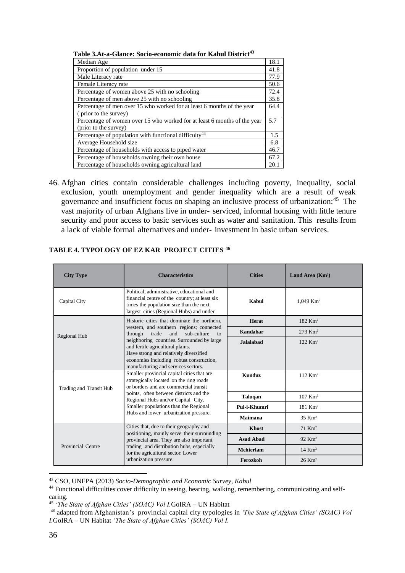| vulu u similovi dovio ocomomilo uuvu lol laudul Dad                      |      |
|--------------------------------------------------------------------------|------|
| Median Age                                                               | 18.1 |
| Proportion of population under 15                                        | 41.8 |
| Male Literacy rate                                                       | 77.9 |
| Female Literacy rate                                                     | 50.6 |
| Percentage of women above 25 with no schooling                           | 72.4 |
| Percentage of men above 25 with no schooling                             | 35.8 |
| Percentage of men over 15 who worked for at least 6 months of the year   | 64.4 |
| (prior to the survey)                                                    |      |
| Percentage of women over 15 who worked for at least 6 months of the year | 5.7  |
| (prior to the survey)                                                    |      |
| Percentage of population with functional difficulty <sup>44</sup>        | 1.5  |
| Average Household size                                                   | 6.8  |
| Percentage of households with access to piped water                      | 46.7 |
| Percentage of households owning their own house                          | 67.2 |
| Percentage of households owning agricultural land                        | 20.1 |

**Table 3.At-a-Glance: Socio-economic data for Kabul District<sup>43</sup>**

46. Afghan cities contain considerable challenges including poverty, inequality, social exclusion, youth unemployment and gender inequality which are a result of weak governance and insufficient focus on shaping an inclusive process of urbanization:<sup>45</sup> The vast majority of urban Afghans live in under- serviced, informal housing with little tenure security and poor access to basic services such as water and sanitation. This results from a lack of viable formal alternatives and under- investment in basic urban services.

| <b>City Type</b>        | <b>Characteristics</b>                                                                                                                                                                                                                                                                          | <b>Cities</b>    | Land Area (Km <sup>2</sup> ) |
|-------------------------|-------------------------------------------------------------------------------------------------------------------------------------------------------------------------------------------------------------------------------------------------------------------------------------------------|------------------|------------------------------|
| Capital City            | Political, administrative, educational and<br>financial centre of the country; at least six<br>times the population size than the next<br>largest cities (Regional Hubs) and under                                                                                                              | Kabul            | $1.049$ Km <sup>2</sup>      |
|                         | Historic cities that dominate the northern,                                                                                                                                                                                                                                                     | Herat            | 182 Km <sup>2</sup>          |
|                         | western, and southern regions; connected<br>trade<br>sub-culture<br>through<br>and<br>to                                                                                                                                                                                                        | Kandahar         | $273 \text{ Km}^2$           |
|                         | Regional Hub<br>neighboring countries. Surrounded by large<br>and fertile agricultural plains.<br>Have strong and relatively diversified<br>economies including robust construction,                                                                                                            |                  | $122$ Km <sup>2</sup>        |
| Trading and Transit Hub | manufacturing and services sectors.<br>Smaller provincial capital cities that are<br>strategically located on the ring roads<br>or borders and are commercial transit<br>points, often between districts and the<br>Regional Hubs and/or Capital City.<br>Smaller populations than the Regional | <b>Kunduz</b>    | $112$ Km <sup>2</sup>        |
|                         |                                                                                                                                                                                                                                                                                                 | <b>Taluqan</b>   | $107$ Km <sup>2</sup>        |
|                         |                                                                                                                                                                                                                                                                                                 | Pul-i-Khumri     | 181 Km <sup>2</sup>          |
|                         | Hubs and lower urbanization pressure.                                                                                                                                                                                                                                                           | Maimana          | $35$ Km <sup>2</sup>         |
|                         | Cities that, due to their geography and                                                                                                                                                                                                                                                         | Khost            | $71$ Km <sup>2</sup>         |
|                         | positioning, mainly serve their surrounding<br>provincial area. They are also important<br>trading and distribution hubs, especially<br>for the agricultural sector. Lower                                                                                                                      | <b>Asad Abad</b> | $92$ Km <sup>2</sup>         |
| Provincial Centre       |                                                                                                                                                                                                                                                                                                 | <b>Mehterlam</b> | $14$ Km <sup>2</sup>         |
|                         | urbanization pressure.                                                                                                                                                                                                                                                                          | Ferozkoh         | $26$ Km <sup>2</sup>         |

#### **TABLE 4. TYPOLOGY OF EZ KAR PROJECT CITIES <sup>46</sup>**

<sup>43</sup> CSO, UNFPA (2013) *Socio-Demographic and Economic Survey, Kabul*

- 45 '*The State of Afghan Cities' (SOAC) Vol I.*GoIRA UN Habitat
- <sup>46</sup> adapted from Afghanistan's provincial capital city typologies in *'The State of Afghan Cities' (SOAC) Vol I.*GoIRA – UN Habitat *'The State of Afghan Cities' (SOAC) Vol I.*

<sup>&</sup>lt;sup>44</sup> Functional difficulties cover difficulty in seeing, hearing, walking, remembering, communicating and selfcaring.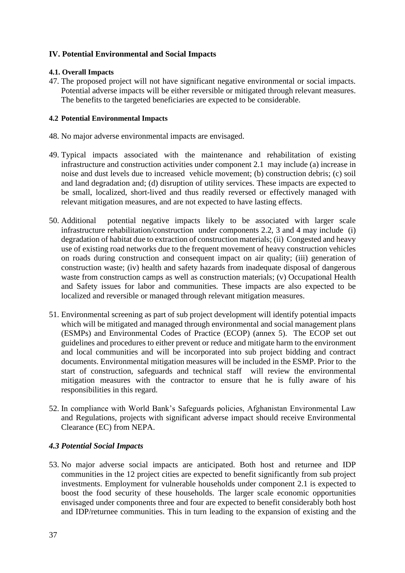# **IV. Potential Environmental and Social Impacts**

# **4.1. Overall Impacts**

47. The proposed project will not have significant negative environmental or social impacts. Potential adverse impacts will be either reversible or mitigated through relevant measures. The benefits to the targeted beneficiaries are expected to be considerable.

#### **4.2 Potential Environmental Impacts**

- 48. No major adverse environmental impacts are envisaged.
- 49. Typical impacts associated with the maintenance and rehabilitation of existing infrastructure and construction activities under component 2.1 may include (a) increase in noise and dust levels due to increased vehicle movement; (b) construction debris; (c) soil and land degradation and; (d) disruption of utility services. These impacts are expected to be small, localized, short-lived and thus readily reversed or effectively managed with relevant mitigation measures, and are not expected to have lasting effects.
- 50. Additional potential negative impacts likely to be associated with larger scale infrastructure rehabilitation/construction under components 2.2, 3 and 4 may include (i) degradation of habitat due to extraction of construction materials; (ii) Congested and heavy use of existing road networks due to the frequent movement of heavy construction vehicles on roads during construction and consequent impact on air quality; (iii) generation of construction waste; (iv) health and safety hazards from inadequate disposal of dangerous waste from construction camps as well as construction materials; (v) Occupational Health and Safety issues for labor and communities*.* These impacts are also expected to be localized and reversible or managed through relevant mitigation measures.
- 51. Environmental screening as part of sub project development will identify potential impacts which will be mitigated and managed through environmental and social management plans (ESMPs) and Environmental Codes of Practice (ECOP) (annex 5). The ECOP set out guidelines and procedures to either prevent or reduce and mitigate harm to the environment and local communities and will be incorporated into sub project bidding and contract documents. Environmental mitigation measures will be included in the ESMP. Prior to the start of construction, safeguards and technical staff will review the environmental mitigation measures with the contractor to ensure that he is fully aware of his responsibilities in this regard.
- 52. In compliance with World Bank's Safeguards policies, Afghanistan Environmental Law and Regulations, projects with significant adverse impact should receive Environmental Clearance (EC) from NEPA.

# *4.3 Potential Social Impacts*

53. No major adverse social impacts are anticipated. Both host and returnee and IDP communities in the 12 project cities are expected to benefit significantly from sub project investments. Employment for vulnerable households under component 2.1 is expected to boost the food security of these households. The larger scale economic opportunities envisaged under components three and four are expected to benefit considerably both host and IDP/returnee communities. This in turn leading to the expansion of existing and the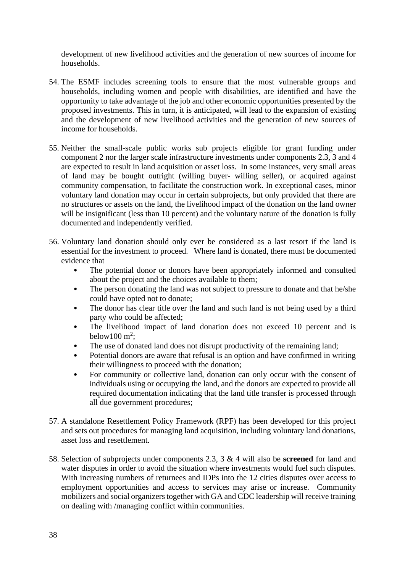development of new livelihood activities and the generation of new sources of income for households.

- 54. The ESMF includes screening tools to ensure that the most vulnerable groups and households, including women and people with disabilities, are identified and have the opportunity to take advantage of the job and other economic opportunities presented by the proposed investments. This in turn, it is anticipated, will lead to the expansion of existing and the development of new livelihood activities and the generation of new sources of income for households.
- 55. Neither the small-scale public works sub projects eligible for grant funding under component 2 nor the larger scale infrastructure investments under components 2.3, 3 and 4 are expected to result in land acquisition or asset loss. In some instances, very small areas of land may be bought outright (willing buyer- willing seller), or acquired against community compensation, to facilitate the construction work. In exceptional cases, minor voluntary land donation may occur in certain subprojects, but only provided that there are no structures or assets on the land, the livelihood impact of the donation on the land owner will be insignificant (less than 10 percent) and the voluntary nature of the donation is fully documented and independently verified.
- 56. Voluntary land donation should only ever be considered as a last resort if the land is essential for the investment to proceed. Where land is donated, there must be documented evidence that
	- The potential donor or donors have been appropriately informed and consulted about the project and the choices available to them;
	- The person donating the land was not subject to pressure to donate and that he/she could have opted not to donate;
	- The donor has clear title over the land and such land is not being used by a third party who could be affected;
	- The livelihood impact of land donation does not exceed 10 percent and is below100  $m^2$ ;
	- The use of donated land does not disrupt productivity of the remaining land;
	- Potential donors are aware that refusal is an option and have confirmed in writing their willingness to proceed with the donation;
	- For community or collective land, donation can only occur with the consent of individuals using or occupying the land, and the donors are expected to provide all required documentation indicating that the land title transfer is processed through all due government procedures;
- 57. A standalone Resettlement Policy Framework (RPF) has been developed for this project and sets out procedures for managing land acquisition, including voluntary land donations, asset loss and resettlement.
- 58. Selection of subprojects under components 2.3, 3 & 4 will also be **screened** for land and water disputes in order to avoid the situation where investments would fuel such disputes. With increasing numbers of returnees and IDPs into the 12 cities disputes over access to employment opportunities and access to services may arise or increase. Community mobilizers and social organizers together with GA and CDC leadership will receive training on dealing with /managing conflict within communities.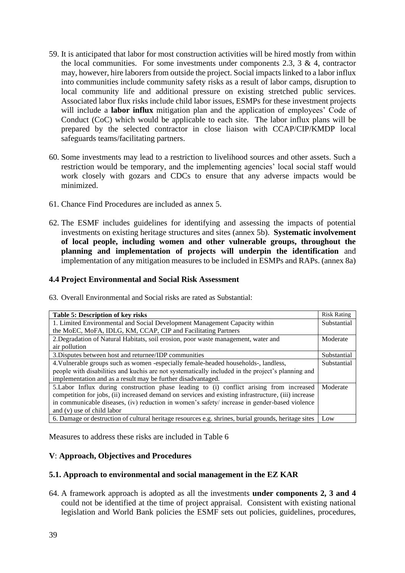- 59. It is anticipated that labor for most construction activities will be hired mostly from within the local communities. For some investments under components 2.3, 3  $\&$  4, contractor may, however, hire laborers from outside the project. Social impacts linked to a labor influx into communities include community safety risks as a result of labor camps, disruption to local community life and additional pressure on existing stretched public services. Associated labor flux risks include child labor issues, ESMPs for these investment projects will include a **labor influx** mitigation plan and the application of employees' Code of Conduct (CoC) which would be applicable to each site. The labor influx plans will be prepared by the selected contractor in close liaison with CCAP/CIP/KMDP local safeguards teams/facilitating partners.
- 60. Some investments may lead to a restriction to livelihood sources and other assets. Such a restriction would be temporary, and the implementing agencies' local social staff would work closely with gozars and CDCs to ensure that any adverse impacts would be minimized.
- 61. Chance Find Procedures are included as annex 5.
- 62. The ESMF includes guidelines for identifying and assessing the impacts of potential investments on existing heritage structures and sites (annex 5b). **Systematic involvement of local people, including women and other vulnerable groups, throughout the planning and implementation of projects will underpin the identification** and implementation of any mitigation measures to be included in ESMPs and RAPs. (annex 8a)

#### **4.4 Project Environmental and Social Risk Assessment**

63. Overall Environmental and Social risks are rated as Substantial:

| <b>Table 5: Description of key risks</b>                                                             | <b>Risk Rating</b> |
|------------------------------------------------------------------------------------------------------|--------------------|
| 1. Limited Environmental and Social Development Management Capacity within                           | Substantial        |
| the MoEC, MoFA, IDLG, KM, CCAP, CIP and Facilitating Partners                                        |                    |
| 2. Degradation of Natural Habitats, soil erosion, poor waste management, water and                   | Moderate           |
| air pollution                                                                                        |                    |
| 3. Disputes between host and returnee/IDP communities                                                | Substantial        |
| 4. Vulnerable groups such as women -especially female-headed households-, landless,                  | Substantial        |
| people with disabilities and kuchis are not systematically included in the project's planning and    |                    |
| implementation and as a result may be further disadvantaged.                                         |                    |
| 5. Labor Influx during construction phase leading to (i) conflict arising from increased             | Moderate           |
| competition for jobs, (ii) increased demand on services and existing infrastructure, (iii) increase  |                    |
| in communicable diseases, (iv) reduction in women's safety/ increase in gender-based violence        |                    |
| and (v) use of child labor                                                                           |                    |
| 6. Damage or destruction of cultural heritage resources e.g. shrines, burial grounds, heritage sites | Low                |

Measures to address these risks are included in Table 6

# **V**: **Approach, Objectives and Procedures**

#### **5.1. Approach to environmental and social management in the EZ KAR**

64. A framework approach is adopted as all the investments **under components 2, 3 and 4** could not be identified at the time of project appraisal. Consistent with existing national legislation and World Bank policies the ESMF sets out policies, guidelines, procedures,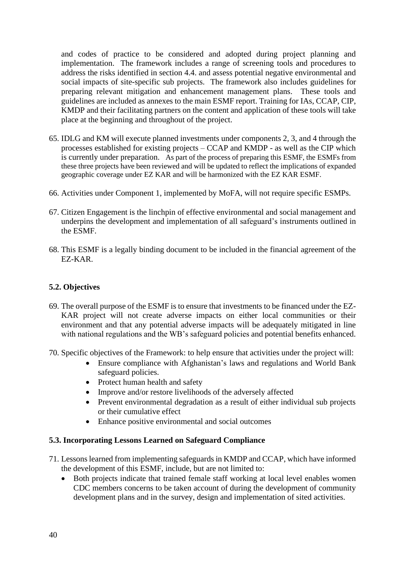and codes of practice to be considered and adopted during project planning and implementation. The framework includes a range of screening tools and procedures to address the risks identified in section 4.4. and assess potential negative environmental and social impacts of site-specific sub projects. The framework also includes guidelines for preparing relevant mitigation and enhancement management plans. These tools and guidelines are included as annexes to the main ESMF report. Training for IAs, CCAP, CIP, KMDP and their facilitating partners on the content and application of these tools will take place at the beginning and throughout of the project.

- 65. IDLG and KM will execute planned investments under components 2, 3, and 4 through the processes established for existing projects – CCAP and KMDP - as well as the CIP which is currently under preparation. As part of the process of preparing this ESMF, the ESMFs from these three projects have been reviewed and will be updated to reflect the implications of expanded geographic coverage under EZ KAR and will be harmonized with the EZ KAR ESMF.
- 66. Activities under Component 1, implemented by MoFA, will not require specific ESMPs.
- 67. Citizen Engagement is the linchpin of effective environmental and social management and underpins the development and implementation of all safeguard's instruments outlined in the ESMF.
- 68. This ESMF is a legally binding document to be included in the financial agreement of the EZ-KAR.

# **5.2. Objectives**

- 69. The overall purpose of the ESMF is to ensure that investments to be financed under the EZ-KAR project will not create adverse impacts on either local communities or their environment and that any potential adverse impacts will be adequately mitigated in line with national regulations and the WB's safeguard policies and potential benefits enhanced.
- 70. Specific objectives of the Framework: to help ensure that activities under the project will:
	- Ensure compliance with Afghanistan's laws and regulations and World Bank safeguard policies.
	- Protect human health and safety
	- Improve and/or restore livelihoods of the adversely affected
	- Prevent environmental degradation as a result of either individual sub projects or their cumulative effect
	- Enhance positive environmental and social outcomes

# **5.3. Incorporating Lessons Learned on Safeguard Compliance**

- 71. Lessons learned from implementing safeguards in KMDP and CCAP, which have informed the development of this ESMF, include, but are not limited to:
	- Both projects indicate that trained female staff working at local level enables women CDC members concerns to be taken account of during the development of community development plans and in the survey, design and implementation of sited activities.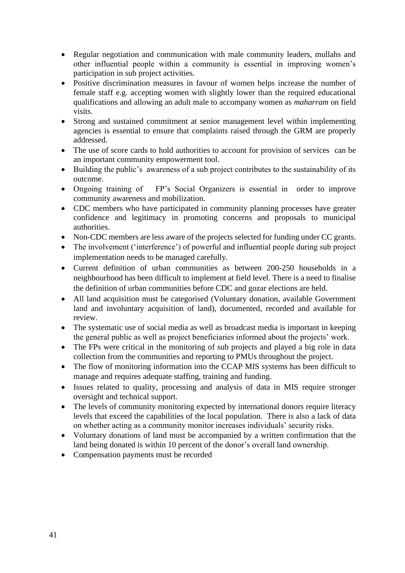- Regular negotiation and communication with male community leaders, mullahs and other influential people within a community is essential in improving women's participation in sub project activities.
- Positive discrimination measures in favour of women helps increase the number of female staff e.g. accepting women with slightly lower than the required educational qualifications and allowing an adult male to accompany women as *maharram* on field visits.
- Strong and sustained commitment at senior management level within implementing agencies is essential to ensure that complaints raised through the GRM are properly addressed.
- The use of score cards to hold authorities to account for provision of services can be an important community empowerment tool.
- Building the public's awareness of a sub project contributes to the sustainability of its outcome.
- Ongoing training of FP's Social Organizers is essential in order to improve community awareness and mobilization.
- CDC members who have participated in community planning processes have greater confidence and legitimacy in promoting concerns and proposals to municipal authorities.
- Non-CDC members are less aware of the projects selected for funding under CC grants.
- The involvement ('interference') of powerful and influential people during sub project implementation needs to be managed carefully.
- Current definition of urban communities as between 200-250 households in a neighbourhood has been difficult to implement at field level. There is a need to finalise the definition of urban communities before CDC and gozar elections are held.
- All land acquisition must be categorised (Voluntary donation, available Government land and involuntary acquisition of land), documented, recorded and available for review.
- The systematic use of social media as well as broadcast media is important in keeping the general public as well as project beneficiaries informed about the projects' work.
- The FPs were critical in the monitoring of sub projects and played a big role in data collection from the communities and reporting to PMUs throughout the project.
- The flow of monitoring information into the CCAP MIS systems has been difficult to manage and requires adequate staffing, training and funding.
- Issues related to quality, processing and analysis of data in MIS require stronger oversight and technical support.
- The levels of community monitoring expected by international donors require literacy levels that exceed the capabilities of the local population. There is also a lack of data on whether acting as a community monitor increases individuals' security risks.
- Voluntary donations of land must be accompanied by a written confirmation that the land being donated is within 10 percent of the donor's overall land ownership.
- Compensation payments must be recorded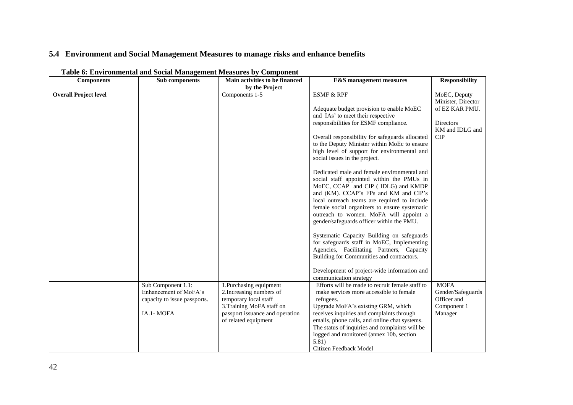# **5.4 Environment and Social Management Measures to manage risks and enhance benefits**

| <b>Components</b>            | Sub components               | Main activities to be financed  | <b>E&amp;S</b> management measures                                                                                             | <b>Responsibility</b>              |
|------------------------------|------------------------------|---------------------------------|--------------------------------------------------------------------------------------------------------------------------------|------------------------------------|
|                              |                              | by the Project                  |                                                                                                                                |                                    |
| <b>Overall Project level</b> |                              | Components 1-5                  | <b>ESMF &amp; RPF</b>                                                                                                          | MoEC, Deputy<br>Minister, Director |
|                              |                              |                                 | Adequate budget provision to enable MoEC                                                                                       | of EZ KAR PMU.                     |
|                              |                              |                                 | and IAs' to meet their respective                                                                                              |                                    |
|                              |                              |                                 | responsibilities for ESMF compliance.                                                                                          | Directors                          |
|                              |                              |                                 |                                                                                                                                | KM and IDLG and                    |
|                              |                              |                                 | Overall responsibility for safeguards allocated                                                                                | <b>CIP</b>                         |
|                              |                              |                                 | to the Deputy Minister within MoEc to ensure                                                                                   |                                    |
|                              |                              |                                 | high level of support for environmental and                                                                                    |                                    |
|                              |                              |                                 | social issues in the project.                                                                                                  |                                    |
|                              |                              |                                 | Dedicated male and female environmental and<br>social staff appointed within the PMUs in<br>MoEC, CCAP and CIP (IDLG) and KMDP |                                    |
|                              |                              |                                 | and (KM). CCAP's FPs and KM and CIP's                                                                                          |                                    |
|                              |                              |                                 | local outreach teams are required to include                                                                                   |                                    |
|                              |                              |                                 | female social organizers to ensure systematic                                                                                  |                                    |
|                              |                              |                                 | outreach to women. MoFA will appoint a                                                                                         |                                    |
|                              |                              |                                 | gender/safeguards officer within the PMU.                                                                                      |                                    |
|                              |                              |                                 | Systematic Capacity Building on safeguards                                                                                     |                                    |
|                              |                              |                                 | for safeguards staff in MoEC, Implementing                                                                                     |                                    |
|                              |                              |                                 | Agencies, Facilitating Partners, Capacity                                                                                      |                                    |
|                              |                              |                                 | Building for Communities and contractors.                                                                                      |                                    |
|                              |                              |                                 |                                                                                                                                |                                    |
|                              |                              |                                 | Development of project-wide information and                                                                                    |                                    |
|                              |                              |                                 | communication strategy                                                                                                         |                                    |
|                              | Sub Component 1.1:           | 1. Purchasing equipment         | Efforts will be made to recruit female staff to                                                                                | <b>MOFA</b>                        |
|                              | Enhancement of MoFA's        | 2. Increasing numbers of        | make services more accessible to female                                                                                        | Gender/Safeguards                  |
|                              | capacity to issue passports. | temporary local staff           | refugees.                                                                                                                      | Officer and                        |
|                              |                              | 3. Training MoFA staff on       | Upgrade MoFA's existing GRM, which                                                                                             | Component 1                        |
|                              | IA.1- MOFA                   | passport issuance and operation | receives inquiries and complaints through                                                                                      | Manager                            |
|                              |                              | of related equipment            | emails, phone calls, and online chat systems.                                                                                  |                                    |
|                              |                              |                                 | The status of inquiries and complaints will be                                                                                 |                                    |
|                              |                              |                                 | logged and monitored (annex 10b, section                                                                                       |                                    |
|                              |                              |                                 | 5.81)                                                                                                                          |                                    |
|                              |                              |                                 | Citizen Feedback Model                                                                                                         |                                    |

## **Table 6: Environmental and Social Management Measures by Component**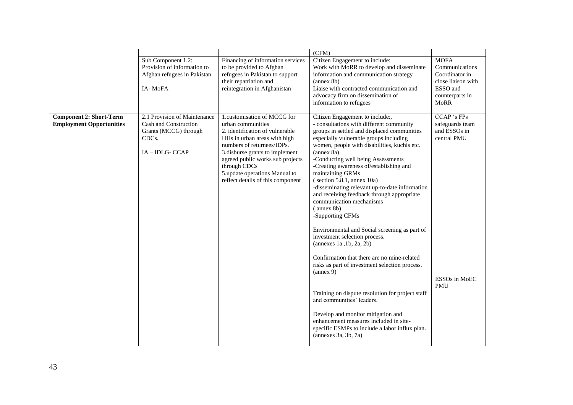|                                                                   |                                                                                                                         |                                                                                                                                                                                                                                                                                                                | (CFM)                                                                                                                                                                                                                                                                                                                                                                                                                                                                                                                                    |                                                                                                                     |
|-------------------------------------------------------------------|-------------------------------------------------------------------------------------------------------------------------|----------------------------------------------------------------------------------------------------------------------------------------------------------------------------------------------------------------------------------------------------------------------------------------------------------------|------------------------------------------------------------------------------------------------------------------------------------------------------------------------------------------------------------------------------------------------------------------------------------------------------------------------------------------------------------------------------------------------------------------------------------------------------------------------------------------------------------------------------------------|---------------------------------------------------------------------------------------------------------------------|
|                                                                   | Sub Component 1.2:<br>Provision of information to<br>Afghan refugees in Pakistan<br>IA-MoFA                             | Financing of information services<br>to be provided to Afghan<br>refugees in Pakistan to support<br>their repatriation and<br>reintegration in Afghanistan                                                                                                                                                     | Citizen Engagement to include:<br>Work with MoRR to develop and disseminate<br>information and communication strategy<br>(annex <sub>8b</sub> )<br>Liaise with contracted communication and<br>advocacy firm on dissemination of<br>information to refugees                                                                                                                                                                                                                                                                              | <b>MOFA</b><br>Communications<br>Coordinator in<br>close liaison with<br>ESSO and<br>counterparts in<br><b>MoRR</b> |
| <b>Component 2: Short-Term</b><br><b>Employment Opportunities</b> | 2.1 Provision of Maintenance<br>Cash and Construction<br>Grants (MCCG) through<br>CDC <sub>s</sub> .<br>IA - IDLG- CCAP | 1.customisation of MCCG for<br>urban communities<br>2. identification of vulnerable<br>HHs in urban areas with high<br>numbers of returnees/IDPs.<br>3. disburse grants to implement<br>agreed public works sub projects<br>through CDCs<br>5.update operations Manual to<br>reflect details of this component | Citizen Engagement to include:,<br>- consultations with different community<br>groups in settled and displaced communities<br>especially vulnerable groups including<br>women, people with disabilities, kuchis etc.<br>(annex 8a)<br>-Conducting well being Assessments<br>-Creating awareness of/establishing and<br>maintaining GRMs<br>(section 5.8.1, annex 10a)<br>-disseminating relevant up-to-date information<br>and receiving feedback through appropriate<br>communication mechanisms<br>$($ annex $8b)$<br>-Supporting CFMs | CCAP 's FPs<br>safeguards team<br>and ESSOs in<br>central PMU                                                       |
|                                                                   |                                                                                                                         |                                                                                                                                                                                                                                                                                                                | Environmental and Social screening as part of<br>investment selection process.<br>(annexes 1a, 1b, 2a, 2b)<br>Confirmation that there are no mine-related<br>risks as part of investment selection process.<br>(annex 9)<br>Training on dispute resolution for project staff<br>and communities' leaders.<br>Develop and monitor mitigation and<br>enhancement measures included in site-<br>specific ESMPs to include a labor influx plan.<br>(annexes 3a, 3b, 7a)                                                                      | ESSOs in MoEC<br><b>PMU</b>                                                                                         |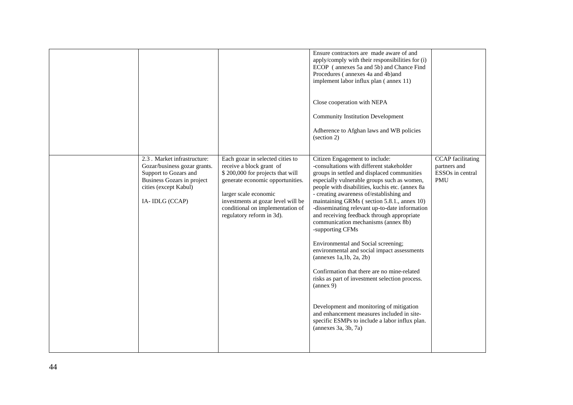|                                                                                                                                                                |                                                                                                                                                                                                                                                                      | Ensure contractors are made aware of and<br>apply/comply with their responsibilities for (i)<br>ECOP (annexes 5a and 5b) and Chance Find<br>Procedures (annexes 4a and 4b)and<br>implement labor influx plan (annex 11)                                                                                                                                                                                                                                                                                                                                                                                                                                                                                                                                                                                                                                                                       |                                                                                        |
|----------------------------------------------------------------------------------------------------------------------------------------------------------------|----------------------------------------------------------------------------------------------------------------------------------------------------------------------------------------------------------------------------------------------------------------------|-----------------------------------------------------------------------------------------------------------------------------------------------------------------------------------------------------------------------------------------------------------------------------------------------------------------------------------------------------------------------------------------------------------------------------------------------------------------------------------------------------------------------------------------------------------------------------------------------------------------------------------------------------------------------------------------------------------------------------------------------------------------------------------------------------------------------------------------------------------------------------------------------|----------------------------------------------------------------------------------------|
|                                                                                                                                                                |                                                                                                                                                                                                                                                                      | Close cooperation with NEPA                                                                                                                                                                                                                                                                                                                                                                                                                                                                                                                                                                                                                                                                                                                                                                                                                                                                   |                                                                                        |
|                                                                                                                                                                |                                                                                                                                                                                                                                                                      | <b>Community Institution Development</b>                                                                                                                                                                                                                                                                                                                                                                                                                                                                                                                                                                                                                                                                                                                                                                                                                                                      |                                                                                        |
|                                                                                                                                                                |                                                                                                                                                                                                                                                                      | Adherence to Afghan laws and WB policies<br>(section 2)                                                                                                                                                                                                                                                                                                                                                                                                                                                                                                                                                                                                                                                                                                                                                                                                                                       |                                                                                        |
| 2.3 . Market infrastructure:<br>Gozar/business gozar grants.<br>Support to Gozars and<br>Business Gozars in project<br>cities (except Kabul)<br>IA-IDLG (CCAP) | Each gozar in selected cities to<br>receive a block grant of<br>\$200,000 for projects that will<br>generate economic opportunities.<br>larger scale economic<br>investments at gozar level will be<br>conditional on implementation of<br>regulatory reform in 3d). | Citizen Engagement to include:<br>-consultations with different stakeholder<br>groups in settled and displaced communities<br>especially vulnerable groups such as women,<br>people with disabilities, kuchis etc. (annex 8a<br>- creating awareness of/establishing and<br>maintaining GRMs (section 5.8.1., annex 10)<br>-disseminating relevant up-to-date information<br>and receiving feedback through appropriate<br>communication mechanisms (annex 8b)<br>-supporting CFMs<br>Environmental and Social screening;<br>environmental and social impact assessments<br>(annexes 1a,1b, 2a, 2b)<br>Confirmation that there are no mine-related<br>risks as part of investment selection process.<br>${\rm (annex 9)}$<br>Development and monitoring of mitigation<br>and enhancement measures included in site-<br>specific ESMPs to include a labor influx plan.<br>(annexes 3a, 3b, 7a) | <b>CCAP</b> facilitating<br>partners and<br>ESSO <sub>s</sub> in central<br><b>PMU</b> |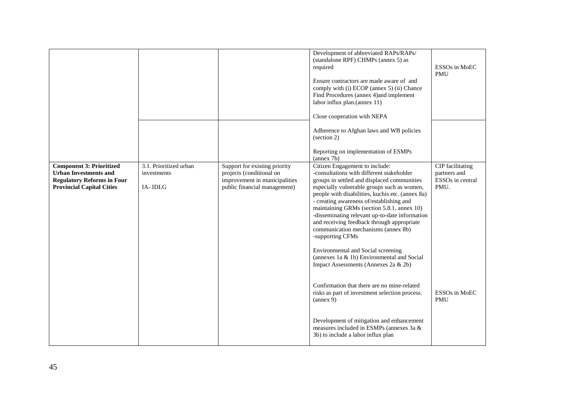|                                                                                                                                          |                                                  |                                                                                                                            | Development of abbreviated RAPs/RAPs/<br>(standalone RPF) CHMPs (annex 5) as<br>required<br>Ensure contractors are made aware of and<br>comply with (i) ECOP (annex 5) (ii) Chance<br>Find Procedures (annex 4) and implement<br>labor influx plan.(annex 11)<br>Close cooperation with NEPA<br>Adherence to Afghan laws and WB policies<br>(section 2)<br>Reporting on implementation of ESMPs<br>(annex 7b)                                                                                                                                                          | ESSOs in MoEC<br><b>PMU</b>                                  |
|------------------------------------------------------------------------------------------------------------------------------------------|--------------------------------------------------|----------------------------------------------------------------------------------------------------------------------------|------------------------------------------------------------------------------------------------------------------------------------------------------------------------------------------------------------------------------------------------------------------------------------------------------------------------------------------------------------------------------------------------------------------------------------------------------------------------------------------------------------------------------------------------------------------------|--------------------------------------------------------------|
| <b>Component 3: Prioritized</b><br><b>Urban Investments and</b><br><b>Regulatory Reforms in Four</b><br><b>Provincial Capital Cities</b> | 3.1. Prioritized urban<br>investments<br>IA-IDLG | Support for existing priority<br>projects (conditional on<br>improvement in municipalities<br>public financial management) | Citizen Engagement to include:<br>-consultations with different stakeholder<br>groups in settled and displaced communities<br>especially vulnerable groups such as women,<br>people with disabilities, kuchis etc. (annex 8a)<br>- creating awareness of/establishing and<br>maintaining GRMs (section 5.8.1, annex 10)<br>-disseminating relevant up-to-date information<br>and receiving feedback through appropriate<br>communication mechanisms (annex 8b)<br>-supporting CFMs<br>Environmental and Social screening<br>(annexes 1a & 1b) Environmental and Social | CIP facilitating<br>partners and<br>ESSOs in central<br>PMU. |
|                                                                                                                                          |                                                  |                                                                                                                            | Impact Assessments (Annexes 2a & 2b)<br>Confirmation that there are no mine-related<br>risks as part of investment selection process.<br>${\rm (annex 9)}$<br>Development of mitigation and enhancement<br>measures included in ESMPs (annexes 3a &<br>3b) to include a labor influx plan                                                                                                                                                                                                                                                                              | ESSOs in MoEC<br><b>PMU</b>                                  |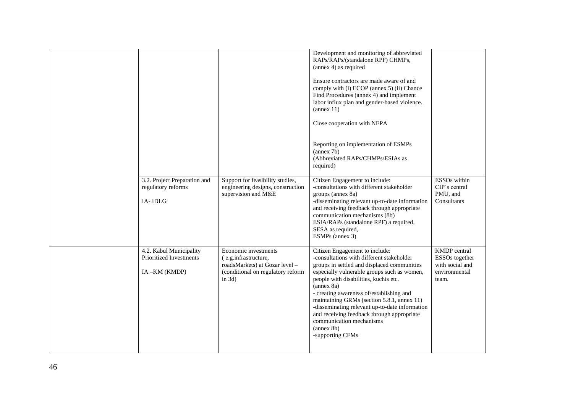|                                                                    |                                                                                                                                  | Development and monitoring of abbreviated<br>RAPs/RAPs/(standalone RPF) CHMPs,<br>(annex 4) as required<br>Ensure contractors are made aware of and<br>comply with (i) ECOP (annex 5) (ii) Chance<br>Find Procedures (annex 4) and implement<br>labor influx plan and gender-based violence.<br>(annex 11)<br>Close cooperation with NEPA<br>Reporting on implementation of ESMPs<br>${\rm (annex 7b)}$<br>(Abbreviated RAPs/CHMPs/ESIAs as<br>required)                                 |                                                                             |
|--------------------------------------------------------------------|----------------------------------------------------------------------------------------------------------------------------------|------------------------------------------------------------------------------------------------------------------------------------------------------------------------------------------------------------------------------------------------------------------------------------------------------------------------------------------------------------------------------------------------------------------------------------------------------------------------------------------|-----------------------------------------------------------------------------|
| 3.2. Project Preparation and<br>regulatory reforms<br>IA-IDLG      | Support for feasibility studies,<br>engineering designs, construction<br>supervision and M&E                                     | Citizen Engagement to include:<br>-consultations with different stakeholder<br>groups (annex 8a)<br>-disseminating relevant up-to-date information<br>and receiving feedback through appropriate<br>communication mechanisms (8b)<br>ESIA/RAPs (standalone RPF) a required,<br>SESA as required,<br>ESMPs (annex 3)                                                                                                                                                                      | ESSO <sub>s</sub> within<br>CIP's central<br>PMU, and<br>Consultants        |
| 4.2. Kabul Municipality<br>Prioritized Investments<br>IA-KM (KMDP) | Economic investments<br>(e.g.infrastructure,<br>roadsMarkets) at Gozar level -<br>(conditional on regulatory reform<br>in $3d$ ) | Citizen Engagement to include:<br>-consultations with different stakeholder<br>groups in settled and displaced communities<br>especially vulnerable groups such as women,<br>people with disabilities, kuchis etc.<br>(annex 8a)<br>- creating awareness of/establishing and<br>maintaining GRMs (section 5.8.1, annex 11)<br>-disseminating relevant up-to-date information<br>and receiving feedback through appropriate<br>communication mechanisms<br>(annex 8b)<br>-supporting CFMs | KMDP central<br>ESSOs together<br>with social and<br>environmental<br>team. |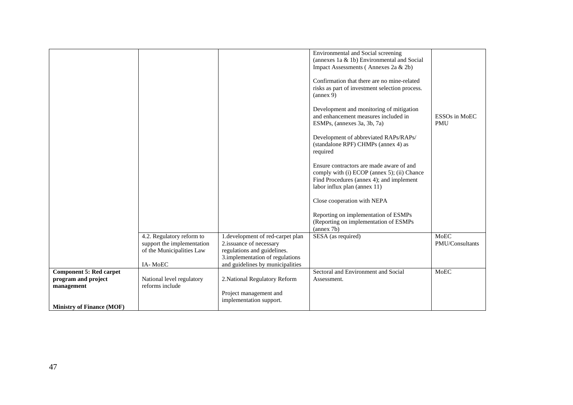|                                  | 4.2. Regulatory reform to  | 1.development of red-carpet plan                               | Environmental and Social screening<br>(annexes 1a & 1b) Environmental and Social<br>Impact Assessments (Annexes 2a & 2b)<br>Confirmation that there are no mine-related<br>risks as part of investment selection process.<br>${\rm (annex 9)}$<br>Development and monitoring of mitigation<br>and enhancement measures included in<br>ESMPs, (annexes 3a, 3b, 7a)<br>Development of abbreviated RAPs/RAPs/<br>(standalone RPF) CHMPs (annex 4) as<br>required<br>Ensure contractors are made aware of and<br>comply with (i) ECOP (annex 5); (ii) Chance<br>Find Procedures (annex 4); and implement<br>labor influx plan (annex 11)<br>Close cooperation with NEPA<br>Reporting on implementation of ESMPs<br>(Reporting on implementation of ESMPs<br>(annex 7b)<br>SESA (as required) | ESSOs in MoEC<br><b>PMU</b><br>MoEC |
|----------------------------------|----------------------------|----------------------------------------------------------------|------------------------------------------------------------------------------------------------------------------------------------------------------------------------------------------------------------------------------------------------------------------------------------------------------------------------------------------------------------------------------------------------------------------------------------------------------------------------------------------------------------------------------------------------------------------------------------------------------------------------------------------------------------------------------------------------------------------------------------------------------------------------------------------|-------------------------------------|
|                                  | support the implementation | 2.issuance of necessary                                        |                                                                                                                                                                                                                                                                                                                                                                                                                                                                                                                                                                                                                                                                                                                                                                                          | PMU/Consultants                     |
|                                  | of the Municipalities Law  | regulations and guidelines.<br>3.implementation of regulations |                                                                                                                                                                                                                                                                                                                                                                                                                                                                                                                                                                                                                                                                                                                                                                                          |                                     |
|                                  | IA-MoEC                    | and guidelines by municipalities                               |                                                                                                                                                                                                                                                                                                                                                                                                                                                                                                                                                                                                                                                                                                                                                                                          |                                     |
| <b>Component 5: Red carpet</b>   |                            |                                                                | Sectoral and Environment and Social                                                                                                                                                                                                                                                                                                                                                                                                                                                                                                                                                                                                                                                                                                                                                      | MoEC                                |
| program and project              | National level regulatory  | 2. National Regulatory Reform                                  | Assessment.                                                                                                                                                                                                                                                                                                                                                                                                                                                                                                                                                                                                                                                                                                                                                                              |                                     |
| management                       | reforms include            |                                                                |                                                                                                                                                                                                                                                                                                                                                                                                                                                                                                                                                                                                                                                                                                                                                                                          |                                     |
|                                  |                            | Project management and                                         |                                                                                                                                                                                                                                                                                                                                                                                                                                                                                                                                                                                                                                                                                                                                                                                          |                                     |
|                                  |                            | implementation support.                                        |                                                                                                                                                                                                                                                                                                                                                                                                                                                                                                                                                                                                                                                                                                                                                                                          |                                     |
| <b>Ministry of Finance (MOF)</b> |                            |                                                                |                                                                                                                                                                                                                                                                                                                                                                                                                                                                                                                                                                                                                                                                                                                                                                                          |                                     |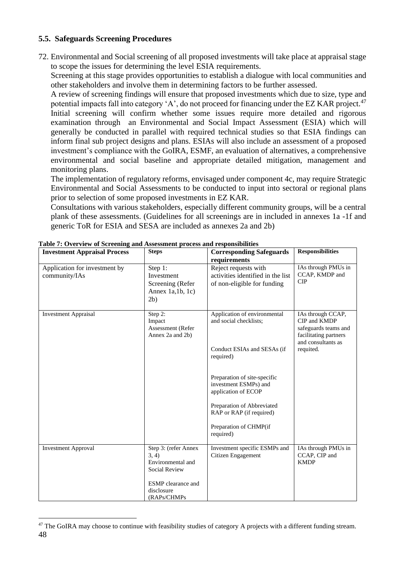# **5.5. Safeguards Screening Procedures**

72. Environmental and Social screening of all proposed investments will take place at appraisal stage to scope the issues for determining the level ESIA requirements.

Screening at this stage provides opportunities to establish a dialogue with local communities and other stakeholders and involve them in determining factors to be further assessed.

A review of screening findings will ensure that proposed investments which due to size, type and potential impacts fall into category 'A', do not proceed for financing under the EZ KAR project.<sup>47</sup> Initial screening will confirm whether some issues require more detailed and rigorous examination through an Environmental and Social Impact Assessment (ESIA) which will generally be conducted in parallel with required technical studies so that ESIA findings can inform final sub project designs and plans. ESIAs will also include an assessment of a proposed investment's compliance with the GoIRA, ESMF, an evaluation of alternatives, a comprehensive environmental and social baseline and appropriate detailed mitigation, management and monitoring plans.

The implementation of regulatory reforms, envisaged under component 4c, may require Strategic Environmental and Social Assessments to be conducted to input into sectoral or regional plans prior to selection of some proposed investments in EZ KAR.

Consultations with various stakeholders, especially different community groups, will be a central plank of these assessments. (Guidelines for all screenings are in included in annexes 1a -1f and generic ToR for ESIA and SESA are included as annexes 2a and 2b)

| <b>Investment Appraisal Process</b>            | <b>Steps</b>                                                                                                                   | <b>Corresponding Safeguards</b><br>requirements                                                                                                                                                                                                                        | <b>Responsibilities</b>                                                                                               |
|------------------------------------------------|--------------------------------------------------------------------------------------------------------------------------------|------------------------------------------------------------------------------------------------------------------------------------------------------------------------------------------------------------------------------------------------------------------------|-----------------------------------------------------------------------------------------------------------------------|
| Application for investment by<br>community/IAs | Step 1:<br>Investment<br>Screening (Refer<br>Annex $1a,1b,1c)$<br>2b)                                                          | Reject requests with<br>activities identified in the list<br>of non-eligible for funding                                                                                                                                                                               | IAs through PMUs in<br>CCAP, KMDP and<br><b>CIP</b>                                                                   |
| <b>Investment Appraisal</b>                    | Step 2:<br>Impact<br>Assessment (Refer<br>Annex 2a and 2b)                                                                     | Application of environmental<br>and social checklists;<br>Conduct ESIAs and SESAs (if<br>required)<br>Preparation of site-specific<br>investment ESMPs) and<br>application of ECOP<br>Preparation of Abbreviated<br>RAP or RAP (if required)<br>Preparation of CHMP(if | IAs through CCAP,<br>CIP and KMDP<br>safeguards teams and<br>facilitating partners<br>and consultants as<br>requited. |
|                                                |                                                                                                                                | required)                                                                                                                                                                                                                                                              |                                                                                                                       |
| <b>Investment Approval</b>                     | Step 3: (refer Annex<br>3, 4)<br>Environmental and<br>Social Review<br><b>ESMP</b> clearance and<br>disclosure<br>(RAPs/CHMPs) | Investment specific ESMPs and<br>Citizen Engagement                                                                                                                                                                                                                    | IAs through PMUs in<br>CCAP, CIP and<br><b>KMDP</b>                                                                   |

**Table 7: Overview of Screening and Assessment process and responsibilities**

<sup>48</sup> <sup>47</sup> The GoIRA may choose to continue with feasibility studies of category A projects with a different funding stream.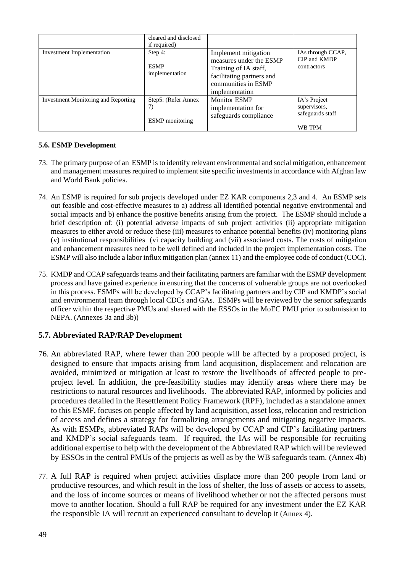|                                            | cleared and disclosed<br>if required)                |                                                                                                                                                |                                                            |
|--------------------------------------------|------------------------------------------------------|------------------------------------------------------------------------------------------------------------------------------------------------|------------------------------------------------------------|
| <b>Investment Implementation</b>           | Step 4:<br><b>ESMP</b><br>implementation             | Implement mitigation<br>measures under the ESMP<br>Training of IA staff,<br>facilitating partners and<br>communities in ESMP<br>implementation | IAs through CCAP,<br>CIP and KMDP<br>contractors           |
| <b>Investment Monitoring and Reporting</b> | Step5: (Refer Annex)<br>7)<br><b>ESMP</b> monitoring | <b>Monitor ESMP</b><br>implementation for<br>safeguards compliance                                                                             | IA's Project<br>supervisors,<br>safeguards staff<br>WB TPM |

# **5.6. ESMP Development**

- 73. The primary purpose of an ESMP is to identify relevant environmental and social mitigation, enhancement and management measures required to implement site specific investments in accordance with Afghan law and World Bank policies.
- 74. An ESMP is required for sub projects developed under EZ KAR components 2,3 and 4. An ESMP sets out feasible and cost-effective measures to a) address all identified potential negative environmental and social impacts and b) enhance the positive benefits arising from the project. The ESMP should include a brief description of: (i) potential adverse impacts of sub project activities (ii) appropriate mitigation measures to either avoid or reduce these (iii) measures to enhance potential benefits (iv) monitoring plans (v) institutional responsibilities (vi capacity building and (vii) associated costs. The costs of mitigation and enhancement measures need to be well defined and included in the project implementation costs. The ESMP will also include a labor influx mitigation plan (annex 11) and the employee code of conduct (COC).
- 75. KMDP and CCAP safeguards teams and their facilitating partners are familiar with the ESMP development process and have gained experience in ensuring that the concerns of vulnerable groups are not overlooked in this process. ESMPs will be developed by CCAP's facilitating partners and by CIP and KMDP's social and environmental team through local CDCs and GAs. ESMPs will be reviewed by the senior safeguards officer within the respective PMUs and shared with the ESSOs in the MoEC PMU prior to submission to NEPA. (Annexes 3a and 3b))

# **5.7. Abbreviated RAP/RAP Development**

- 76. An abbreviated RAP, where fewer than 200 people will be affected by a proposed project, is designed to ensure that impacts arising from land acquisition, displacement and relocation are avoided, minimized or mitigation at least to restore the livelihoods of affected people to preproject level. In addition, the pre-feasibility studies may identify areas where there may be restrictions to natural resources and livelihoods. The abbreviated RAP, informed by policies and procedures detailed in the Resettlement Policy Framework (RPF), included as a standalone annex to this ESMF, focuses on people affected by land acquisition, asset loss, relocation and restriction of access and defines a strategy for formalizing arrangements and mitigating negative impacts. As with ESMPs, abbreviated RAPs will be developed by CCAP and CIP's facilitating partners and KMDP's social safeguards team. If required, the IAs will be responsible for recruiting additional expertise to help with the development of the Abbreviated RAP which will be reviewed by ESSOs in the central PMUs of the projects as well as by the WB safeguards team. (Annex 4b)
- 77. A full RAP is required when project activities displace more than 200 people from land or productive resources, and which result in the loss of shelter, the loss of assets or access to assets, and the loss of income sources or means of livelihood whether or not the affected persons must move to another location. Should a full RAP be required for any investment under the EZ KAR the responsible IA will recruit an experienced consultant to develop it (Annex 4).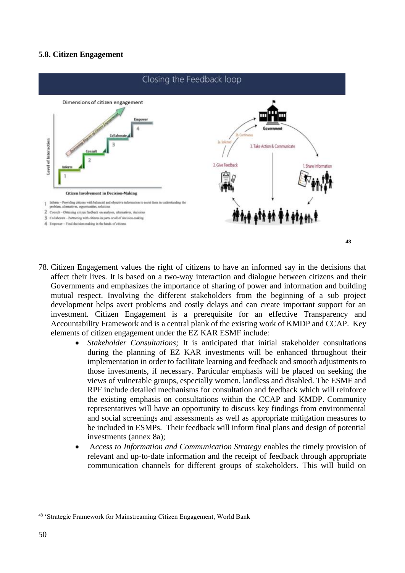# **5.8. Citizen Engagement**



- 78. Citizen Engagement values the right of citizens to have an informed say in the decisions that affect their lives. It is based on a two-way interaction and dialogue between citizens and their Governments and emphasizes the importance of sharing of power and information and building mutual respect. Involving the different stakeholders from the beginning of a sub project development helps avert problems and costly delays and can create important support for an investment. Citizen Engagement is a prerequisite for an effective Transparency and Accountability Framework and is a central plank of the existing work of KMDP and CCAP. Key elements of citizen engagement under the EZ KAR ESMF include:
	- *Stakeholder Consultations;* It is anticipated that initial stakeholder consultations during the planning of EZ KAR investments will be enhanced throughout their implementation in order to facilitate learning and feedback and smooth adjustments to those investments, if necessary. Particular emphasis will be placed on seeking the views of vulnerable groups, especially women, landless and disabled. The ESMF and RPF include detailed mechanisms for consultation and feedback which will reinforce the existing emphasis on consultations within the CCAP and KMDP. Community representatives will have an opportunity to discuss key findings from environmental and social screenings and assessments as well as appropriate mitigation measures to be included in ESMPs. Their feedback will inform final plans and design of potential investments (annex 8a);
	- A*ccess to Information and Communication Strategy* enables the timely provision of relevant and up-to-date information and the receipt of feedback through appropriate communication channels for different groups of stakeholders. This will build on

<sup>48</sup> 'Strategic Framework for Mainstreaming Citizen Engagement, World Bank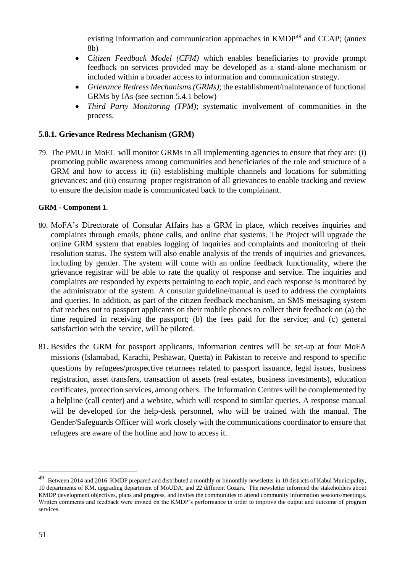existing information and communication approaches in KMDP<sup>49</sup> and CCAP; (annex 8b)

- C*itizen Feedback Model (CFM)* which enables beneficiaries to provide prompt feedback on services provided may be developed as a stand-alone mechanism or included within a broader access to information and communication strategy.
- *Grievance Redress Mechanisms (GRMs)*; the establishment/maintenance of functional GRMs by IAs (see section 5.4.1 below)
- *Third Party Monitoring (TPM)*; systematic involvement of communities in the process.

# **5.8.1. Grievance Redress Mechanism (GRM)**

79. The PMU in MoEC will monitor GRMs in all implementing agencies to ensure that they are: (i) promoting public awareness among communities and beneficiaries of the role and structure of a GRM and how to access it; (ii) establishing multiple channels and locations for submitting grievances; and (iii) ensuring proper registration of all grievances to enable tracking and review to ensure the decision made is communicated back to the complainant.

# **GRM - Component 1**.

- 80. MoFA's Directorate of Consular Affairs has a GRM in place, which receives inquiries and complaints through emails, phone calls, and online chat systems. The Project will upgrade the online GRM system that enables logging of inquiries and complaints and monitoring of their resolution status. The system will also enable analysis of the trends of inquiries and grievances, including by gender. The system will come with an online feedback functionality, where the grievance registrar will be able to rate the quality of response and service. The inquiries and complaints are responded by experts pertaining to each topic, and each response is monitored by the administrator of the system. A consular guideline/manual is used to address the complaints and queries. In addition, as part of the citizen feedback mechanism, an SMS messaging system that reaches out to passport applicants on their mobile phones to collect their feedback on (a) the time required in receiving the passport; (b) the fees paid for the service; and (c) general satisfaction with the service, will be piloted.
- 81. Besides the GRM for passport applicants, information centres will be set-up at four MoFA missions (Islamabad, Karachi, Peshawar, Quetta) in Pakistan to receive and respond to specific questions by refugees/prospective returnees related to passport issuance, legal issues, business registration, asset transfers, transaction of assets (real estates, business investments), education certificates, protection services, among others. The Information Centres will be complemented by a helpline (call center) and a website, which will respond to similar queries. A response manual will be developed for the help-desk personnel, who will be trained with the manual. The Gender/Safeguards Officer will work closely with the communications coordinator to ensure that refugees are aware of the hotline and how to access it.

<sup>&</sup>lt;sup>49</sup> Between 2014 and 2016 KMDP prepared and distributed a monthly or bimonthly newsletter in 10 districts of Kabul Municipality, 10 departments of KM, upgrading department of MoUDA, and 22 different Gozars. The newsletter informed the stakeholders about KMDP development objectives, plans and progress, and invites the communities to attend community information sessions/meetings. Written comments and feedback were invited on the KMDP's performance in order to improve the output and outcome of program services.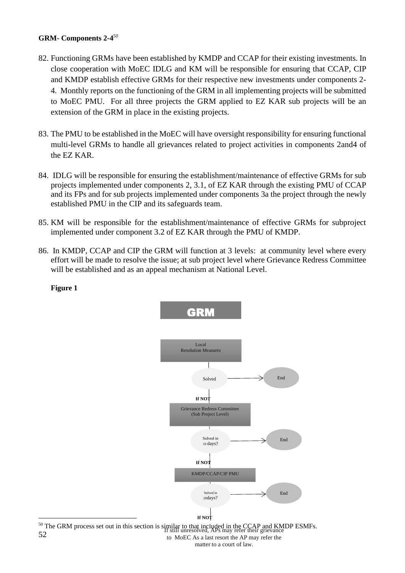# **GRM- Components 2-4** *50*

- 82. Functioning GRMs have been established by KMDP and CCAP for their existing investments. In close cooperation with MoEC IDLG and KM will be responsible for ensuring that CCAP, CIP and KMDP establish effective GRMs for their respective new investments under components 2- 4. Monthly reports on the functioning of the GRM in all implementing projects will be submitted to MoEC PMU. For all three projects the GRM applied to EZ KAR sub projects will be an extension of the GRM in place in the existing projects.
- 83. The PMU to be established in the MoEC will have oversight responsibility for ensuring functional multi-level GRMs to handle all grievances related to project activities in components 2and4 of the EZ KAR.
- 84. IDLG will be responsible for ensuring the establishment/maintenance of effective GRMs for sub projects implemented under components 2, 3.1, of EZ KAR through the existing PMU of CCAP and its FPs and for sub projects implemented under components 3a the project through the newly established PMU in the CIP and its safeguards team.
- 85. KM will be responsible for the establishment/maintenance of effective GRMs for subproject implemented under component 3.2 of EZ KAR through the PMU of KMDP.
- 86. In KMDP, CCAP and CIP the GRM will function at 3 levels: at community level where every effort will be made to resolve the issue; at sub project level where Grievance Redress Committee will be established and as an appeal mechanism at National Level.

#### **Figure 1**



52 <sup>50</sup> The GRM process set out in this section is similar to that included in the CCAP and KMDP ESMFs.<br>
If still unresolved, APs may refer their grievance to MoEC As a last resort the AP may refer the matter to a court of law.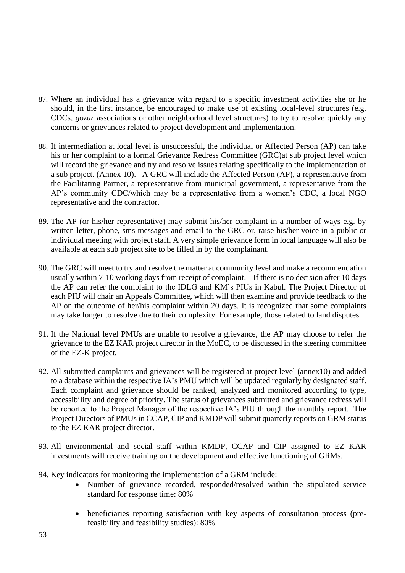- 87. Where an individual has a grievance with regard to a specific investment activities she or he should, in the first instance, be encouraged to make use of existing local-level structures (e.g. CDCs, *gozar* associations or other neighborhood level structures) to try to resolve quickly any concerns or grievances related to project development and implementation.
- 88. If intermediation at local level is unsuccessful, the individual or Affected Person (AP) can take his or her complaint to a formal Grievance Redress Committee (GRC)at sub project level which will record the grievance and try and resolve issues relating specifically to the implementation of a sub project. (Annex 10). A GRC will include the Affected Person (AP), a representative from the Facilitating Partner, a representative from municipal government, a representative from the AP's community CDC/which may be a representative from a women's CDC, a local NGO representative and the contractor.
- 89. The AP (or his/her representative) may submit his/her complaint in a number of ways e.g. by written letter, phone, sms messages and email to the GRC or, raise his/her voice in a public or individual meeting with project staff. A very simple grievance form in local language will also be available at each sub project site to be filled in by the complainant.
- 90. The GRC will meet to try and resolve the matter at community level and make a recommendation usually within 7-10 working days from receipt of complaint. If there is no decision after 10 days the AP can refer the complaint to the IDLG and KM's PIUs in Kabul. The Project Director of each PIU will chair an Appeals Committee, which will then examine and provide feedback to the AP on the outcome of her/his complaint within 20 days. It is recognized that some complaints may take longer to resolve due to their complexity. For example, those related to land disputes.
- 91. If the National level PMUs are unable to resolve a grievance, the AP may choose to refer the grievance to the EZ KAR project director in the MoEC, to be discussed in the steering committee of the EZ-K project.
- 92. All submitted complaints and grievances will be registered at project level (annex10) and added to a database within the respective IA's PMU which will be updated regularly by designated staff. Each complaint and grievance should be ranked, analyzed and monitored according to type, accessibility and degree of priority. The status of grievances submitted and grievance redress will be reported to the Project Manager of the respective IA's PIU through the monthly report. The Project Directors of PMUs in CCAP, CIP and KMDP will submit quarterly reports on GRM status to the EZ KAR project director.
- 93. All environmental and social staff within KMDP, CCAP and CIP assigned to EZ KAR investments will receive training on the development and effective functioning of GRMs.
- 94. Key indicators for monitoring the implementation of a GRM include:
	- Number of grievance recorded, responded/resolved within the stipulated service standard for response time: 80%
	- beneficiaries reporting satisfaction with key aspects of consultation process (prefeasibility and feasibility studies): 80%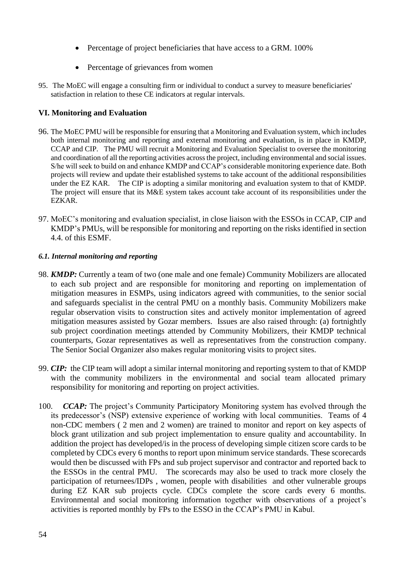- Percentage of project beneficiaries that have access to a GRM. 100%
- Percentage of grievances from women
- 95. The MoEC will engage a consulting firm or individual to conduct a survey to measure beneficiaries' satisfaction in relation to these CE indicators at regular intervals.

# **VI. Monitoring and Evaluation**

- 96. The MoEC PMU will be responsible for ensuring that a Monitoring and Evaluation system, which includes both internal monitoring and reporting and external monitoring and evaluation, is in place in KMDP, CCAP and CIP. The PMU will recruit a Monitoring and Evaluation Specialist to oversee the monitoring and coordination of all the reporting activities across the project, including environmental and social issues. S/he will seek to build on and enhance KMDP and CCAP's considerable monitoring experience date. Both projects will review and update their established systems to take account of the additional responsibilities under the EZ KAR. The CIP is adopting a similar monitoring and evaluation system to that of KMDP. The project will ensure that its M&E system takes account take account of its responsibilities under the EZKAR.
- 97. MoEC's monitoring and evaluation specialist, in close liaison with the ESSOs in CCAP, CIP and KMDP's PMUs, will be responsible for monitoring and reporting on the risks identified in section 4.4. of this ESMF.

#### *6.1. Internal monitoring and reporting*

- 98. *KMDP:* Currently a team of two (one male and one female) Community Mobilizers are allocated to each sub project and are responsible for monitoring and reporting on implementation of mitigation measures in ESMPs, using indicators agreed with communities, to the senior social and safeguards specialist in the central PMU on a monthly basis. Community Mobilizers make regular observation visits to construction sites and actively monitor implementation of agreed mitigation measures assisted by Gozar members. Issues are also raised through: (a) fortnightly sub project coordination meetings attended by Community Mobilizers, their KMDP technical counterparts, Gozar representatives as well as representatives from the construction company. The Senior Social Organizer also makes regular monitoring visits to project sites.
- 99. *CIP:* the CIP team will adopt a similar internal monitoring and reporting system to that of KMDP with the community mobilizers in the environmental and social team allocated primary responsibility for monitoring and reporting on project activities.
- 100. *CCAP:* The project's Community Participatory Monitoring system has evolved through the its predecessor's (NSP) extensive experience of working with local communities. Teams of 4 non-CDC members ( 2 men and 2 women) are trained to monitor and report on key aspects of block grant utilization and sub project implementation to ensure quality and accountability. In addition the project has developed/is in the process of developing simple citizen score cards to be completed by CDCs every 6 months to report upon minimum service standards. These scorecards would then be discussed with FPs and sub project supervisor and contractor and reported back to the ESSOs in the central PMU. The scorecards may also be used to track more closely the participation of returnees/IDPs , women, people with disabilities and other vulnerable groups during EZ KAR sub projects cycle. CDCs complete the score cards every 6 months. Environmental and social monitoring information together with observations of a project's activities is reported monthly by FPs to the ESSO in the CCAP's PMU in Kabul.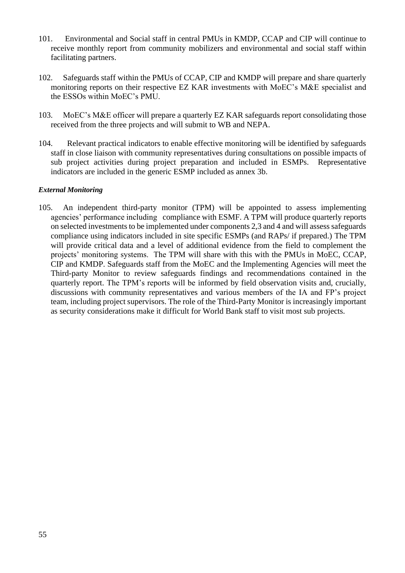- 101. Environmental and Social staff in central PMUs in KMDP, CCAP and CIP will continue to receive monthly report from community mobilizers and environmental and social staff within facilitating partners.
- 102. Safeguards staff within the PMUs of CCAP, CIP and KMDP will prepare and share quarterly monitoring reports on their respective EZ KAR investments with MoEC's M&E specialist and the ESSOs within MoEC's PMU.
- 103. MoEC's M&E officer will prepare a quarterly EZ KAR safeguards report consolidating those received from the three projects and will submit to WB and NEPA.
- 104. Relevant practical indicators to enable effective monitoring will be identified by safeguards staff in close liaison with community representatives during consultations on possible impacts of sub project activities during project preparation and included in ESMPs. Representative indicators are included in the generic ESMP included as annex 3b.

# *External Monitoring*

105. An independent third-party monitor (TPM) will be appointed to assess implementing agencies' performance including compliance with ESMF. A TPM will produce quarterly reports on selected investments to be implemented under components 2,3 and 4 and will assess safeguards compliance using indicators included in site specific ESMPs (and RAPs/ if prepared.) The TPM will provide critical data and a level of additional evidence from the field to complement the projects' monitoring systems. The TPM will share with this with the PMUs in MoEC, CCAP, CIP and KMDP. Safeguards staff from the MoEC and the Implementing Agencies will meet the Third-party Monitor to review safeguards findings and recommendations contained in the quarterly report. The TPM's reports will be informed by field observation visits and, crucially, discussions with community representatives and various members of the IA and FP's project team, including project supervisors. The role of the Third-Party Monitor is increasingly important as security considerations make it difficult for World Bank staff to visit most sub projects.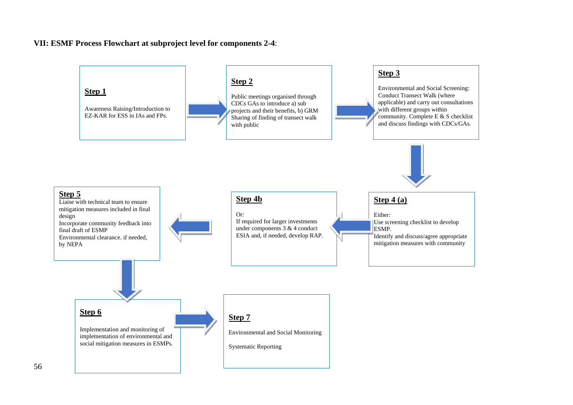#### **VII: ESMF Process Flowchart at subproject level for components 2-4**:

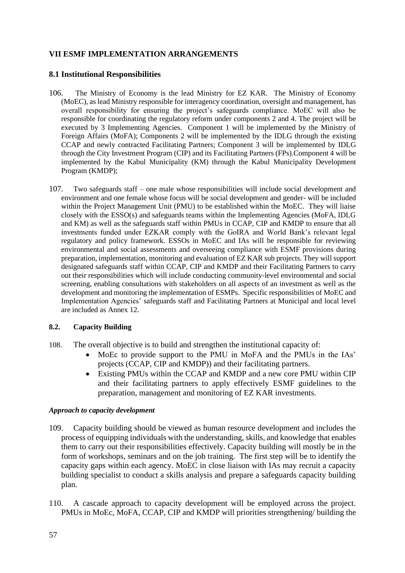# **VII ESMF IMPLEMENTATION ARRANGEMENTS**

## **8.1 Institutional Responsibilities**

- 106. The Ministry of Economy is the lead Ministry for EZ KAR. The Ministry of Economy (MoEC), as lead Ministry responsible for interagency coordination, oversight and management, has overall responsibility for ensuring the project's safeguards compliance. MoEC will also be responsible for coordinating the regulatory reform under components 2 and 4. The project will be executed by 3 Implementing Agencies. Component 1 will be implemented by the Ministry of Foreign Affairs (MoFA); Components 2 will be implemented by the IDLG through the existing CCAP and newly contracted Facilitating Partners; Component 3 will be implemented by IDLG through the City Investment Program (CIP) and its Facilitating Partners (FPs).Component 4 will be implemented by the Kabul Municipality (KM) through the Kabul Municipality Development Program (KMDP);
- 107. Two safeguards staff one male whose responsibilities will include social development and environment and one female whose focus will be social development and gender- will be included within the Project Management Unit (PMU) to be established within the MoEC. They will liaise closely with the ESSO(s) and safeguards teams within the Implementing Agencies (MoFA, IDLG and KM) as well as the safeguards staff within PMUs in CCAP, CIP and KMDP to ensure that all investments funded under EZKAR comply with the GoIRA and World Bank's relevant legal regulatory and policy framework. ESSOs in MoEC and IAs will be responsible for reviewing environmental and social assessments and overseeing compliance with ESMF provisions during preparation, implementation, monitoring and evaluation of EZ KAR sub projects. They will support designated safeguards staff within CCAP, CIP and KMDP and their Facilitating Partners to carry out their responsibilities which will include conducting community-level environmental and social screening, enabling consultations with stakeholders on all aspects of an investment as well as the development and monitoring the implementation of ESMPs. Specific responsibilities of MoEC and Implementation Agencies' safeguards staff and Facilitating Partners at Municipal and local level are included as Annex 12.

#### **8.2. Capacity Building**

- 108. The overall objective is to build and strengthen the institutional capacity of:
	- MoEc to provide support to the PMU in MoFA and the PMUs in the IAs' projects (CCAP, CIP and KMDP)) and their facilitating partners.
	- Existing PMUs within the CCAP and KMDP and a new core PMU within CIP and their facilitating partners to apply effectively ESMF guidelines to the preparation, management and monitoring of EZ KAR investments.

#### *Approach to capacity development*

- 109. Capacity building should be viewed as human resource development and includes the process of equipping individuals with the understanding, skills, and knowledge that enables them to carry out their responsibilities effectively. Capacity building will mostly be in the form of workshops, seminars and on the job training. The first step will be to identify the capacity gaps within each agency. MoEC in close liaison with IAs may recruit a capacity building specialist to conduct a skills analysis and prepare a safeguards capacity building plan.
- 110. A cascade approach to capacity development will be employed across the project. PMUs in MoEc, MoFA, CCAP, CIP and KMDP will priorities strengthening/ building the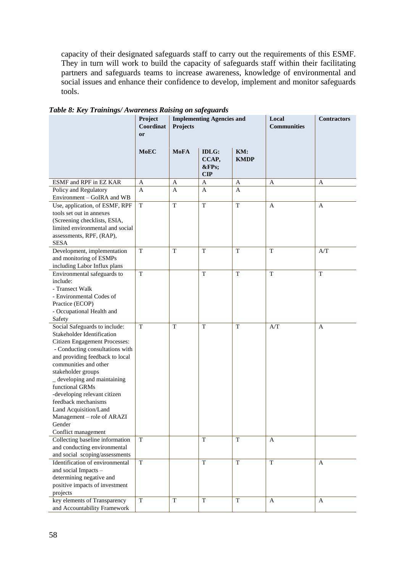capacity of their designated safeguards staff to carry out the requirements of this ESMF. They in turn will work to build the capacity of safeguards staff within their facilitating partners and safeguards teams to increase awareness, knowledge of environmental and social issues and enhance their confidence to develop, implement and monitor safeguards tools.

|                                                                                                                                                                                                                                                                                                                                                                                                                               | Project<br>Coordinat<br>or | <b>Implementing Agencies and</b><br>Projects |                                      | Local<br><b>Communities</b> | <b>Contractors</b> |             |
|-------------------------------------------------------------------------------------------------------------------------------------------------------------------------------------------------------------------------------------------------------------------------------------------------------------------------------------------------------------------------------------------------------------------------------|----------------------------|----------------------------------------------|--------------------------------------|-----------------------------|--------------------|-------------|
|                                                                                                                                                                                                                                                                                                                                                                                                                               | <b>MoEC</b>                | <b>MoFA</b>                                  | <b>IDLG:</b><br>CCAP,<br>&FPs<br>CIP | KM:<br><b>KMDP</b>          |                    |             |
| ESMF and RPF in EZ KAR                                                                                                                                                                                                                                                                                                                                                                                                        | A                          | A                                            | $\mathbf{A}$                         | A                           | A                  | A           |
| Policy and Regulatory<br>Environment - GoIRA and WB                                                                                                                                                                                                                                                                                                                                                                           | A                          | A                                            | A                                    | A                           |                    |             |
| Use, application, of ESMF, RPF<br>tools set out in annexes<br>(Screening checklists, ESIA,<br>limited environmental and social<br>assessments, RPF, (RAP),<br><b>SESA</b>                                                                                                                                                                                                                                                     | $\mathbf T$                | $\mathbf T$                                  | T                                    | $\mathbf T$                 | A                  | A           |
| Development, implementation<br>and monitoring of ESMPs<br>including Labor Influx plans                                                                                                                                                                                                                                                                                                                                        | T                          | $\mathbf T$                                  | T                                    | T                           | $\mathbf T$        | A/T         |
| Environmental safeguards to<br>include:<br>- Transect Walk<br>- Environmental Codes of<br>Practice (ECOP)<br>- Occupational Health and                                                                                                                                                                                                                                                                                        | $\mathbf T$                |                                              | T                                    | T                           | T                  | $\mathbf T$ |
| Safety<br>Social Safeguards to include:<br>Stakeholder Identification<br>Citizen Engagement Processes:<br>- Conducting consultations with<br>and providing feedback to local<br>communities and other<br>stakeholder groups<br>_ developing and maintaining<br>functional GRMs<br>-developing relevant citizen<br>feedback mechanisms<br>Land Acquisition/Land<br>Management - role of ARAZI<br>Gender<br>Conflict management | T                          | T                                            | T                                    | T                           | A/T                | A           |
| Collecting baseline information<br>and conducting environmental<br>and social scoping/assessments                                                                                                                                                                                                                                                                                                                             | $\mathbf T$                |                                              | T                                    | T                           | $\mathbf{A}$       |             |
| Identification of environmental<br>and social Impacts -<br>determining negative and<br>positive impacts of investment<br>projects                                                                                                                                                                                                                                                                                             | $\mathbf T$                |                                              | $\mathbf T$                          | $\mathbf T$                 | $\mathbf T$        | A           |
| key elements of Transparency<br>and Accountability Framework                                                                                                                                                                                                                                                                                                                                                                  | $\mathbf T$                | T                                            | T                                    | T                           | A                  | A           |

*Table 8: Key Trainings/ Awareness Raising on safeguards*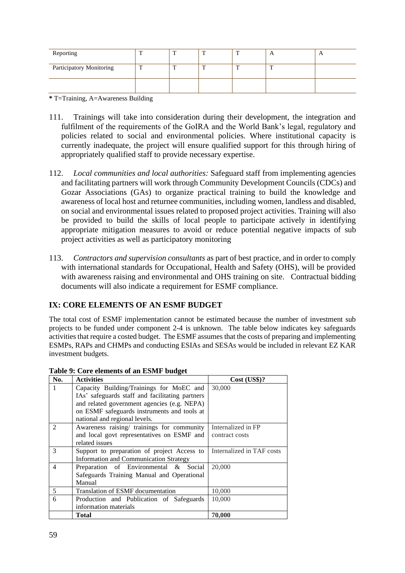| Reporting                | <u>тт</u> | œ | π |        | $\mathbf{r}$ |
|--------------------------|-----------|---|---|--------|--------------|
| Participatory Monitoring | m         | m | œ | $\sim$ |              |
|                          |           |   |   |        |              |

**\*** T=Training, A=Awareness Building

- 111. Trainings will take into consideration during their development, the integration and fulfilment of the requirements of the GoIRA and the World Bank's legal, regulatory and policies related to social and environmental policies. Where institutional capacity is currently inadequate, the project will ensure qualified support for this through hiring of appropriately qualified staff to provide necessary expertise.
- 112. *Local communities and local authorities:* Safeguard staff from implementing agencies and facilitating partners will work through Community Development Councils (CDCs) and Gozar Associations (GAs) to organize practical training to build the knowledge and awareness of local host and returnee communities, including women, landless and disabled, on social and environmental issues related to proposed project activities. Training will also be provided to build the skills of local people to participate actively in identifying appropriate mitigation measures to avoid or reduce potential negative impacts of sub project activities as well as participatory monitoring
- 113. *Contractors and supervision consultants* as part of best practice, and in order to comply with international standards for Occupational, Health and Safety (OHS), will be provided with awareness raising and environmental and OHS training on site. Contractual bidding documents will also indicate a requirement for ESMF compliance.

# **IX: CORE ELEMENTS OF AN ESMF BUDGET**

The total cost of ESMF implementation cannot be estimated because the number of investment sub projects to be funded under component 2-4 is unknown. The table below indicates key safeguards activities that require a costed budget. The ESMF assumes that the costs of preparing and implementing ESMPs, RAPs and CHMPs and conducting ESIAs and SESAs would be included in relevant EZ KAR investment budgets.

| No.                         | <b>Activities</b>                               | Cost (US\$)?              |
|-----------------------------|-------------------------------------------------|---------------------------|
|                             | Capacity Building/Trainings for MoEC and        | 30,000                    |
|                             | IAs' safeguards staff and facilitating partners |                           |
|                             | and related government agencies (e.g. NEPA)     |                           |
|                             | on ESMF safeguards instruments and tools at     |                           |
|                             | national and regional levels.                   |                           |
| $\mathcal{D}_{\mathcal{L}}$ | Awareness raising/ trainings for community      | Internalized in FP        |
|                             | and local govt representatives on ESMF and      | contract costs            |
|                             | related issues                                  |                           |
| 3                           | Support to preparation of project Access to     | Internalized in TAF costs |
|                             | <b>Information and Communication Strategy</b>   |                           |
| $\overline{4}$              | Preparation of Environmental & Social           | 20,000                    |
|                             | Safeguards Training Manual and Operational      |                           |
|                             | Manual                                          |                           |
| 5                           | Translation of ESMF documentation               | 10,000                    |
| 6                           | Production and Publication of Safeguards        | 10,000                    |
|                             | information materials                           |                           |
|                             | Total                                           | 70.000                    |

|  |  | Table 9: Core elements of an ESMF budget |  |  |  |
|--|--|------------------------------------------|--|--|--|
|--|--|------------------------------------------|--|--|--|